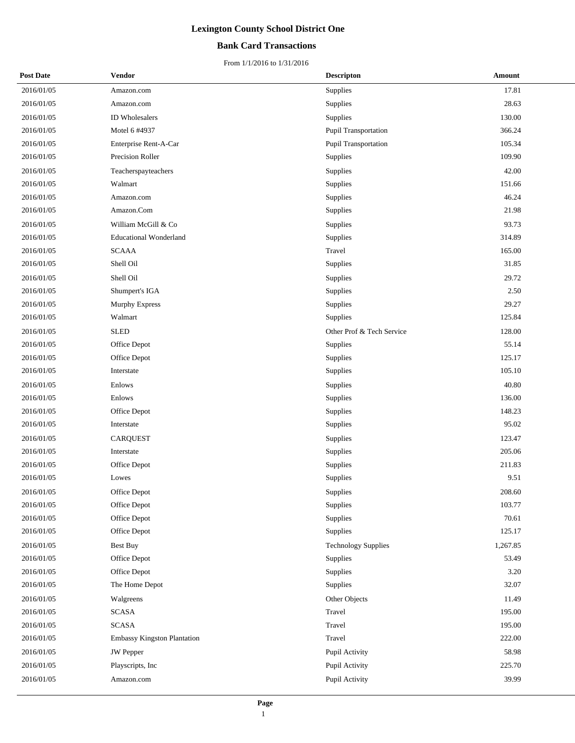## **Bank Card Transactions**

| <b>Post Date</b> | Vendor                        | <b>Descripton</b>          | Amount   |
|------------------|-------------------------------|----------------------------|----------|
| 2016/01/05       | Amazon.com                    | Supplies                   | 17.81    |
| 2016/01/05       | Amazon.com                    | Supplies                   | 28.63    |
| 2016/01/05       | <b>ID</b> Wholesalers         | Supplies                   | 130.00   |
| 2016/01/05       | Motel 6 #4937                 | Pupil Transportation       | 366.24   |
| 2016/01/05       | Enterprise Rent-A-Car         | Pupil Transportation       | 105.34   |
| 2016/01/05       | Precision Roller              | Supplies                   | 109.90   |
| 2016/01/05       | Teacherspayteachers           | Supplies                   | 42.00    |
| 2016/01/05       | Walmart                       | Supplies                   | 151.66   |
| 2016/01/05       | Amazon.com                    | Supplies                   | 46.24    |
| 2016/01/05       | Amazon.Com                    | Supplies                   | 21.98    |
| 2016/01/05       | William McGill & Co           | Supplies                   | 93.73    |
| 2016/01/05       | <b>Educational Wonderland</b> | Supplies                   | 314.89   |
| 2016/01/05       | <b>SCAAA</b>                  | Travel                     | 165.00   |
| 2016/01/05       | Shell Oil                     | Supplies                   | 31.85    |
| 2016/01/05       | Shell Oil                     | Supplies                   | 29.72    |
| 2016/01/05       | Shumpert's IGA                | <b>Supplies</b>            | 2.50     |
| 2016/01/05       | Murphy Express                | Supplies                   | 29.27    |
| 2016/01/05       | Walmart                       | Supplies                   | 125.84   |
| 2016/01/05       | <b>SLED</b>                   | Other Prof & Tech Service  | 128.00   |
| 2016/01/05       | Office Depot                  | <b>Supplies</b>            | 55.14    |
| 2016/01/05       | Office Depot                  | Supplies                   | 125.17   |
| 2016/01/05       | Interstate                    | Supplies                   | 105.10   |
| 2016/01/05       | Enlows                        | Supplies                   | 40.80    |
| 2016/01/05       | Enlows                        | Supplies                   | 136.00   |
| 2016/01/05       | Office Depot                  | Supplies                   | 148.23   |
| 2016/01/05       | Interstate                    | Supplies                   | 95.02    |
| 2016/01/05       | <b>CARQUEST</b>               | Supplies                   | 123.47   |
| 2016/01/05       | Interstate                    | Supplies                   | 205.06   |
| 2016/01/05       | Office Depot                  | Supplies                   | 211.83   |
| 2016/01/05       | Lowes                         | Supplies                   | 9.51     |
| 2016/01/05       | Office Depot                  | Supplies                   | 208.60   |
| 2016/01/05       | Office Depot                  | Supplies                   | 103.77   |
| 2016/01/05       | Office Depot                  | Supplies                   | 70.61    |
| 2016/01/05       | Office Depot                  | Supplies                   | 125.17   |
| 2016/01/05       | Best Buy                      | <b>Technology Supplies</b> | 1,267.85 |
| 2016/01/05       | Office Depot                  | Supplies                   | 53.49    |
| 2016/01/05       | Office Depot                  | Supplies                   | 3.20     |
| 2016/01/05       | The Home Depot                | Supplies                   | 32.07    |
| 2016/01/05       | Walgreens                     | Other Objects              | 11.49    |
| 2016/01/05       | <b>SCASA</b>                  | Travel                     | 195.00   |
| 2016/01/05       | <b>SCASA</b>                  | Travel                     | 195.00   |
| 2016/01/05       | Embassy Kingston Plantation   | Travel                     | 222.00   |
| 2016/01/05       | JW Pepper                     | Pupil Activity             | 58.98    |
| 2016/01/05       | Playscripts, Inc.             | Pupil Activity             | 225.70   |
| 2016/01/05       | Amazon.com                    | Pupil Activity             | 39.99    |
|                  |                               |                            |          |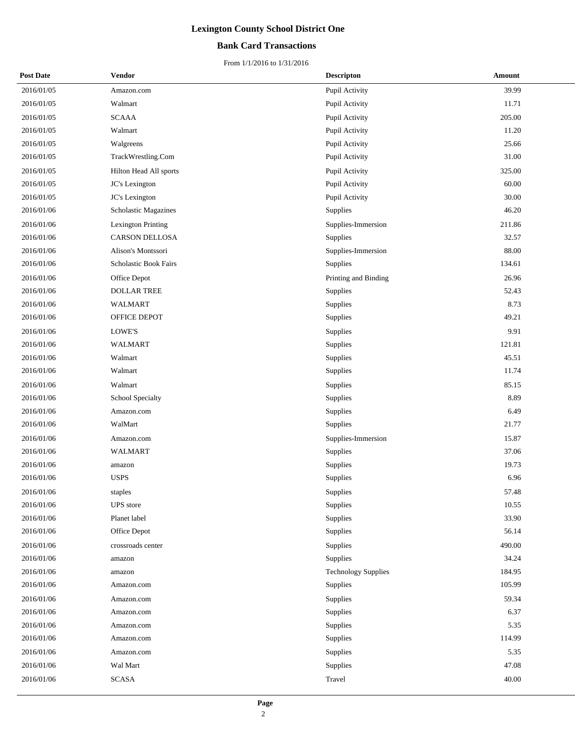## **Bank Card Transactions**

| <b>Post Date</b> | <b>Vendor</b>             | <b>Descripton</b>          | Amount |  |
|------------------|---------------------------|----------------------------|--------|--|
| 2016/01/05       | Amazon.com                | Pupil Activity             | 39.99  |  |
| 2016/01/05       | Walmart                   | Pupil Activity             | 11.71  |  |
| 2016/01/05       | <b>SCAAA</b>              | Pupil Activity             | 205.00 |  |
| 2016/01/05       | Walmart                   | Pupil Activity             | 11.20  |  |
| 2016/01/05       | Walgreens                 | Pupil Activity             | 25.66  |  |
| 2016/01/05       | TrackWrestling.Com        | Pupil Activity             | 31.00  |  |
| 2016/01/05       | Hilton Head All sports    | Pupil Activity             | 325.00 |  |
| 2016/01/05       | JC's Lexington            | Pupil Activity             | 60.00  |  |
| 2016/01/05       | JC's Lexington            | Pupil Activity             | 30.00  |  |
| 2016/01/06       | Scholastic Magazines      | Supplies                   | 46.20  |  |
| 2016/01/06       | <b>Lexington Printing</b> | Supplies-Immersion         | 211.86 |  |
| 2016/01/06       | <b>CARSON DELLOSA</b>     | Supplies                   | 32.57  |  |
| 2016/01/06       | Alison's Montssori        | Supplies-Immersion         | 88.00  |  |
| 2016/01/06       | Scholastic Book Fairs     | Supplies                   | 134.61 |  |
| 2016/01/06       | Office Depot              | Printing and Binding       | 26.96  |  |
| 2016/01/06       | <b>DOLLAR TREE</b>        | Supplies                   | 52.43  |  |
| 2016/01/06       | WALMART                   | Supplies                   | 8.73   |  |
| 2016/01/06       | OFFICE DEPOT              | Supplies                   | 49.21  |  |
| 2016/01/06       | LOWE'S                    | Supplies                   | 9.91   |  |
| 2016/01/06       | <b>WALMART</b>            | Supplies                   | 121.81 |  |
| 2016/01/06       | Walmart                   | Supplies                   | 45.51  |  |
| 2016/01/06       | Walmart                   | Supplies                   | 11.74  |  |
| 2016/01/06       | Walmart                   | Supplies                   | 85.15  |  |
| 2016/01/06       | School Specialty          | Supplies                   | 8.89   |  |
| 2016/01/06       | Amazon.com                | Supplies                   | 6.49   |  |
| 2016/01/06       | WalMart                   | Supplies                   | 21.77  |  |
| 2016/01/06       | Amazon.com                | Supplies-Immersion         | 15.87  |  |
| 2016/01/06       | <b>WALMART</b>            | Supplies                   | 37.06  |  |
| 2016/01/06       | amazon                    | Supplies                   | 19.73  |  |
| 2016/01/06       | <b>USPS</b>               | Supplies                   | 6.96   |  |
| 2016/01/06       | ${\rm staples}$           | Supplies                   | 57.48  |  |
| 2016/01/06       | UPS store                 | Supplies                   | 10.55  |  |
| 2016/01/06       | Planet label              | Supplies                   | 33.90  |  |
| 2016/01/06       | Office Depot              | Supplies                   | 56.14  |  |
| 2016/01/06       | crossroads center         | Supplies                   | 490.00 |  |
| 2016/01/06       | amazon                    | Supplies                   | 34.24  |  |
| 2016/01/06       | amazon                    | <b>Technology Supplies</b> | 184.95 |  |
| 2016/01/06       | Amazon.com                | Supplies                   | 105.99 |  |
| 2016/01/06       | Amazon.com                | Supplies                   | 59.34  |  |
| 2016/01/06       | Amazon.com                | Supplies                   | 6.37   |  |
| 2016/01/06       | Amazon.com                | Supplies                   | 5.35   |  |
| 2016/01/06       | Amazon.com                | Supplies                   | 114.99 |  |
| 2016/01/06       | Amazon.com                | Supplies                   | 5.35   |  |
| 2016/01/06       | Wal Mart                  | Supplies                   | 47.08  |  |
| 2016/01/06       | <b>SCASA</b>              | Travel                     | 40.00  |  |
|                  |                           |                            |        |  |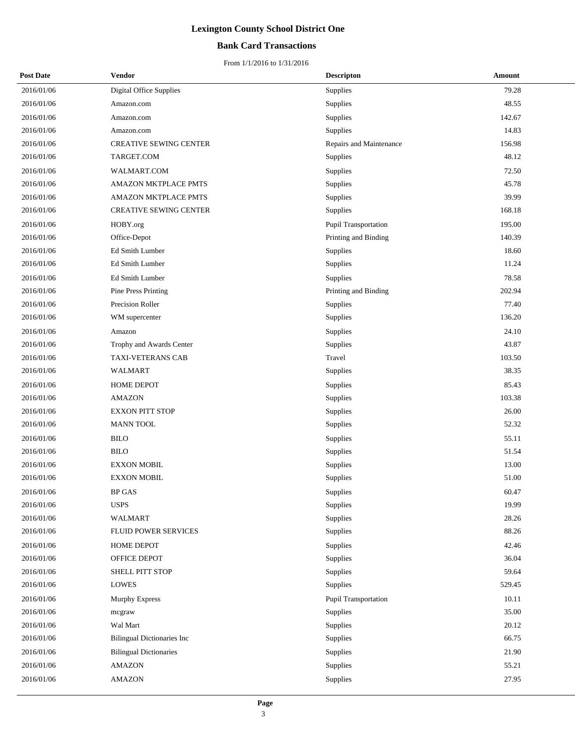## **Bank Card Transactions**

| <b>Post Date</b> | Vendor                            | <b>Descripton</b>       | Amount |
|------------------|-----------------------------------|-------------------------|--------|
| 2016/01/06       | Digital Office Supplies           | Supplies                | 79.28  |
| 2016/01/06       | Amazon.com                        | Supplies                | 48.55  |
| 2016/01/06       | Amazon.com                        | Supplies                | 142.67 |
| 2016/01/06       | Amazon.com                        | Supplies                | 14.83  |
| 2016/01/06       | <b>CREATIVE SEWING CENTER</b>     | Repairs and Maintenance | 156.98 |
| 2016/01/06       | TARGET.COM                        | Supplies                | 48.12  |
| 2016/01/06       | WALMART.COM                       | Supplies                | 72.50  |
| 2016/01/06       | <b>AMAZON MKTPLACE PMTS</b>       | Supplies                | 45.78  |
| 2016/01/06       | AMAZON MKTPLACE PMTS              | Supplies                | 39.99  |
| 2016/01/06       | CREATIVE SEWING CENTER            | Supplies                | 168.18 |
| 2016/01/06       | HOBY.org                          | Pupil Transportation    | 195.00 |
| 2016/01/06       | Office-Depot                      | Printing and Binding    | 140.39 |
| 2016/01/06       | Ed Smith Lumber                   | Supplies                | 18.60  |
| 2016/01/06       | Ed Smith Lumber                   | Supplies                | 11.24  |
| 2016/01/06       | Ed Smith Lumber                   | Supplies                | 78.58  |
| 2016/01/06       | <b>Pine Press Printing</b>        | Printing and Binding    | 202.94 |
| 2016/01/06       | Precision Roller                  | Supplies                | 77.40  |
| 2016/01/06       | WM supercenter                    | Supplies                | 136.20 |
| 2016/01/06       | Amazon                            | Supplies                | 24.10  |
| 2016/01/06       | Trophy and Awards Center          | Supplies                | 43.87  |
| 2016/01/06       | TAXI-VETERANS CAB                 | Travel                  | 103.50 |
| 2016/01/06       | WALMART                           | Supplies                | 38.35  |
| 2016/01/06       | HOME DEPOT                        | Supplies                | 85.43  |
| 2016/01/06       | <b>AMAZON</b>                     | Supplies                | 103.38 |
| 2016/01/06       | <b>EXXON PITT STOP</b>            | Supplies                | 26.00  |
| 2016/01/06       | <b>MANN TOOL</b>                  | Supplies                | 52.32  |
| 2016/01/06       | <b>BILO</b>                       | Supplies                | 55.11  |
| 2016/01/06       | <b>BILO</b>                       | Supplies                | 51.54  |
| 2016/01/06       | <b>EXXON MOBIL</b>                | Supplies                | 13.00  |
| 2016/01/06       | <b>EXXON MOBIL</b>                | Supplies                | 51.00  |
| 2016/01/06       | <b>BP GAS</b>                     | Supplies                | 60.47  |
| 2016/01/06       | <b>USPS</b>                       | Supplies                | 19.99  |
| 2016/01/06       | <b>WALMART</b>                    | Supplies                | 28.26  |
| 2016/01/06       | <b>FLUID POWER SERVICES</b>       | Supplies                | 88.26  |
| 2016/01/06       | HOME DEPOT                        | Supplies                | 42.46  |
| 2016/01/06       | OFFICE DEPOT                      | Supplies                | 36.04  |
| 2016/01/06       | SHELL PITT STOP                   | Supplies                | 59.64  |
| 2016/01/06       | <b>LOWES</b>                      | Supplies                | 529.45 |
| 2016/01/06       | Murphy Express                    | Pupil Transportation    | 10.11  |
| 2016/01/06       | mcgraw                            | Supplies                | 35.00  |
| 2016/01/06       | Wal Mart                          | Supplies                | 20.12  |
| 2016/01/06       | <b>Bilingual Dictionaries Inc</b> | Supplies                | 66.75  |
| 2016/01/06       | <b>Bilingual Dictionaries</b>     | Supplies                | 21.90  |
| 2016/01/06       | AMAZON                            | Supplies                | 55.21  |
| 2016/01/06       | AMAZON                            | Supplies                | 27.95  |
|                  |                                   |                         |        |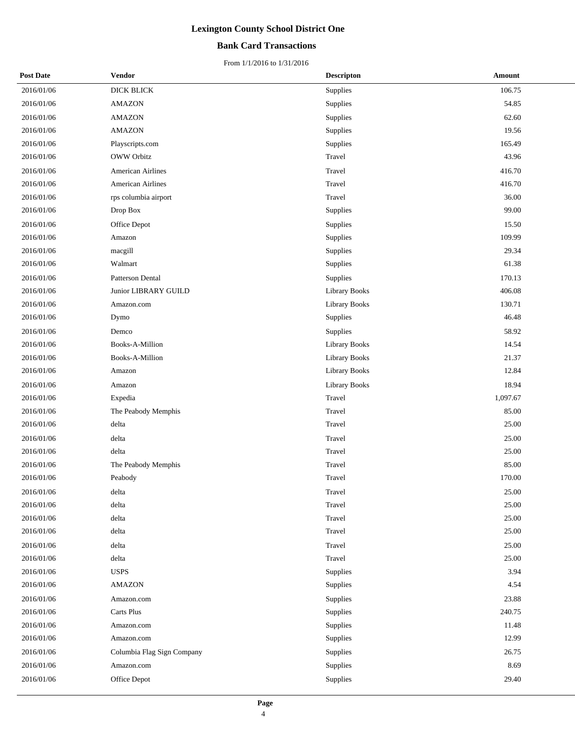## **Bank Card Transactions**

| <b>Post Date</b> | <b>Vendor</b>              | <b>Descripton</b>    | Amount   |
|------------------|----------------------------|----------------------|----------|
| 2016/01/06       | DICK BLICK                 | Supplies             | 106.75   |
| 2016/01/06       | <b>AMAZON</b>              | Supplies             | 54.85    |
| 2016/01/06       | <b>AMAZON</b>              | Supplies             | 62.60    |
| 2016/01/06       | <b>AMAZON</b>              | Supplies             | 19.56    |
| 2016/01/06       | Playscripts.com            | Supplies             | 165.49   |
| 2016/01/06       | <b>OWW Orbitz</b>          | Travel               | 43.96    |
| 2016/01/06       | <b>American Airlines</b>   | Travel               | 416.70   |
| 2016/01/06       | <b>American Airlines</b>   | Travel               | 416.70   |
| 2016/01/06       | rps columbia airport       | Travel               | 36.00    |
| 2016/01/06       | Drop Box                   | Supplies             | 99.00    |
| 2016/01/06       | Office Depot               | Supplies             | 15.50    |
| 2016/01/06       | Amazon                     | Supplies             | 109.99   |
| 2016/01/06       | macgill                    | Supplies             | 29.34    |
| 2016/01/06       | Walmart                    | Supplies             | 61.38    |
| 2016/01/06       | Patterson Dental           | Supplies             | 170.13   |
| 2016/01/06       | Junior LIBRARY GUILD       | Library Books        | 406.08   |
| 2016/01/06       | Amazon.com                 | <b>Library Books</b> | 130.71   |
| 2016/01/06       | Dymo                       | Supplies             | 46.48    |
| 2016/01/06       | Demco                      | Supplies             | 58.92    |
| 2016/01/06       | Books-A-Million            | Library Books        | 14.54    |
| 2016/01/06       | Books-A-Million            | Library Books        | 21.37    |
| 2016/01/06       | Amazon                     | <b>Library Books</b> | 12.84    |
| 2016/01/06       | Amazon                     | Library Books        | 18.94    |
| 2016/01/06       | Expedia                    | Travel               | 1,097.67 |
| 2016/01/06       | The Peabody Memphis        | Travel               | 85.00    |
| 2016/01/06       | delta                      | Travel               | 25.00    |
| 2016/01/06       | delta                      | Travel               | 25.00    |
| 2016/01/06       | delta                      | Travel               | 25.00    |
| 2016/01/06       | The Peabody Memphis        | Travel               | 85.00    |
| 2016/01/06       | Peabody                    | Travel               | 170.00   |
| 2016/01/06       | delta                      | Travel               | 25.00    |
| 2016/01/06       | delta                      | Travel               | 25.00    |
| 2016/01/06       | delta                      | Travel               | 25.00    |
| 2016/01/06       | delta                      | Travel               | 25.00    |
| 2016/01/06       | delta                      | Travel               | 25.00    |
| 2016/01/06       | delta                      | Travel               | 25.00    |
| 2016/01/06       | <b>USPS</b>                | Supplies             | 3.94     |
| 2016/01/06       | <b>AMAZON</b>              | Supplies             | 4.54     |
| 2016/01/06       | Amazon.com                 | Supplies             | 23.88    |
| 2016/01/06       | Carts Plus                 | Supplies             | 240.75   |
| 2016/01/06       | Amazon.com                 | Supplies             | 11.48    |
| 2016/01/06       | Amazon.com                 | Supplies             | 12.99    |
| 2016/01/06       | Columbia Flag Sign Company | Supplies             | 26.75    |
| 2016/01/06       | Amazon.com                 | Supplies             | 8.69     |
| 2016/01/06       | Office Depot               | Supplies             | 29.40    |
|                  |                            |                      |          |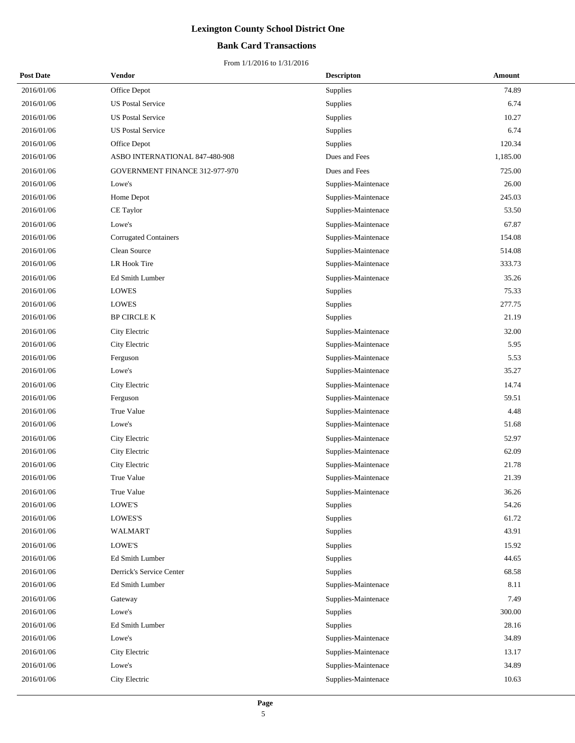## **Bank Card Transactions**

| <b>Post Date</b> | Vendor                         | <b>Descripton</b>   | Amount   |
|------------------|--------------------------------|---------------------|----------|
| 2016/01/06       | Office Depot                   | Supplies            | 74.89    |
| 2016/01/06       | <b>US Postal Service</b>       | Supplies            | 6.74     |
| 2016/01/06       | <b>US Postal Service</b>       | Supplies            | 10.27    |
| 2016/01/06       | <b>US Postal Service</b>       | Supplies            | 6.74     |
| 2016/01/06       | Office Depot                   | Supplies            | 120.34   |
| 2016/01/06       | ASBO INTERNATIONAL 847-480-908 | Dues and Fees       | 1,185.00 |
| 2016/01/06       | GOVERNMENT FINANCE 312-977-970 | Dues and Fees       | 725.00   |
| 2016/01/06       | Lowe's                         | Supplies-Maintenace | 26.00    |
| 2016/01/06       | Home Depot                     | Supplies-Maintenace | 245.03   |
| 2016/01/06       | CE Taylor                      | Supplies-Maintenace | 53.50    |
| 2016/01/06       | Lowe's                         | Supplies-Maintenace | 67.87    |
| 2016/01/06       | <b>Corrugated Containers</b>   | Supplies-Maintenace | 154.08   |
| 2016/01/06       | Clean Source                   | Supplies-Maintenace | 514.08   |
| 2016/01/06       | LR Hook Tire                   | Supplies-Maintenace | 333.73   |
| 2016/01/06       | Ed Smith Lumber                | Supplies-Maintenace | 35.26    |
| 2016/01/06       | <b>LOWES</b>                   | Supplies            | 75.33    |
| 2016/01/06       | <b>LOWES</b>                   | Supplies            | 277.75   |
| 2016/01/06       | <b>BP CIRCLE K</b>             | Supplies            | 21.19    |
| 2016/01/06       | City Electric                  | Supplies-Maintenace | 32.00    |
| 2016/01/06       | City Electric                  | Supplies-Maintenace | 5.95     |
| 2016/01/06       | Ferguson                       | Supplies-Maintenace | 5.53     |
| 2016/01/06       | Lowe's                         | Supplies-Maintenace | 35.27    |
| 2016/01/06       | City Electric                  | Supplies-Maintenace | 14.74    |
| 2016/01/06       | Ferguson                       | Supplies-Maintenace | 59.51    |
| 2016/01/06       | True Value                     | Supplies-Maintenace | 4.48     |
| 2016/01/06       | Lowe's                         | Supplies-Maintenace | 51.68    |
| 2016/01/06       | City Electric                  | Supplies-Maintenace | 52.97    |
| 2016/01/06       | City Electric                  | Supplies-Maintenace | 62.09    |
| 2016/01/06       | City Electric                  | Supplies-Maintenace | 21.78    |
| 2016/01/06       | <b>True Value</b>              | Supplies-Maintenace | 21.39    |
| 2016/01/06       | True Value                     | Supplies-Maintenace | 36.26    |
| 2016/01/06       | LOWE'S                         | Supplies            | 54.26    |
| 2016/01/06       | <b>LOWES'S</b>                 | Supplies            | 61.72    |
| 2016/01/06       | WALMART                        | Supplies            | 43.91    |
| 2016/01/06       | LOWE'S                         | Supplies            | 15.92    |
| 2016/01/06       | Ed Smith Lumber                | Supplies            | 44.65    |
| 2016/01/06       | Derrick's Service Center       | Supplies            | 68.58    |
| 2016/01/06       | Ed Smith Lumber                | Supplies-Maintenace | 8.11     |
| 2016/01/06       | Gateway                        | Supplies-Maintenace | 7.49     |
| 2016/01/06       | Lowe's                         | Supplies            | 300.00   |
| 2016/01/06       | Ed Smith Lumber                | Supplies            | 28.16    |
| 2016/01/06       | Lowe's                         | Supplies-Maintenace | 34.89    |
| 2016/01/06       | City Electric                  | Supplies-Maintenace | 13.17    |
| 2016/01/06       | Lowe's                         | Supplies-Maintenace | 34.89    |
| 2016/01/06       | City Electric                  | Supplies-Maintenace | 10.63    |
|                  |                                |                     |          |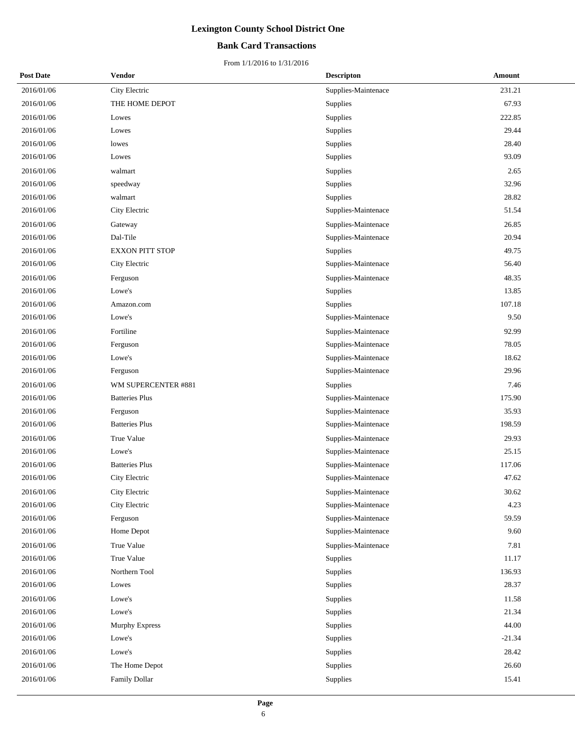## **Bank Card Transactions**

| <b>Post Date</b> | <b>Vendor</b>          | <b>Descripton</b>   | Amount   |
|------------------|------------------------|---------------------|----------|
| 2016/01/06       | City Electric          | Supplies-Maintenace | 231.21   |
| 2016/01/06       | THE HOME DEPOT         | Supplies            | 67.93    |
| 2016/01/06       | Lowes                  | Supplies            | 222.85   |
| 2016/01/06       | Lowes                  | Supplies            | 29.44    |
| 2016/01/06       | lowes                  | Supplies            | 28.40    |
| 2016/01/06       | Lowes                  | Supplies            | 93.09    |
| 2016/01/06       | walmart                | Supplies            | 2.65     |
| 2016/01/06       | speedway               | Supplies            | 32.96    |
| 2016/01/06       | walmart                | Supplies            | 28.82    |
| 2016/01/06       | City Electric          | Supplies-Maintenace | 51.54    |
| 2016/01/06       | Gateway                | Supplies-Maintenace | 26.85    |
| 2016/01/06       | Dal-Tile               | Supplies-Maintenace | 20.94    |
| 2016/01/06       | <b>EXXON PITT STOP</b> | Supplies            | 49.75    |
| 2016/01/06       | City Electric          | Supplies-Maintenace | 56.40    |
| 2016/01/06       | Ferguson               | Supplies-Maintenace | 48.35    |
| 2016/01/06       | Lowe's                 | Supplies            | 13.85    |
| 2016/01/06       | Amazon.com             | Supplies            | 107.18   |
| 2016/01/06       | Lowe's                 | Supplies-Maintenace | 9.50     |
| 2016/01/06       | Fortiline              | Supplies-Maintenace | 92.99    |
| 2016/01/06       | Ferguson               | Supplies-Maintenace | 78.05    |
| 2016/01/06       | Lowe's                 | Supplies-Maintenace | 18.62    |
| 2016/01/06       | Ferguson               | Supplies-Maintenace | 29.96    |
| 2016/01/06       | WM SUPERCENTER #881    | Supplies            | 7.46     |
| 2016/01/06       | <b>Batteries Plus</b>  | Supplies-Maintenace | 175.90   |
| 2016/01/06       | Ferguson               | Supplies-Maintenace | 35.93    |
| 2016/01/06       | <b>Batteries Plus</b>  | Supplies-Maintenace | 198.59   |
| 2016/01/06       | <b>True Value</b>      | Supplies-Maintenace | 29.93    |
| 2016/01/06       | Lowe's                 | Supplies-Maintenace | 25.15    |
| 2016/01/06       | <b>Batteries Plus</b>  | Supplies-Maintenace | 117.06   |
| 2016/01/06       | City Electric          | Supplies-Maintenace | 47.62    |
| 2016/01/06       | City Electric          | Supplies-Maintenace | 30.62    |
| 2016/01/06       | City Electric          | Supplies-Maintenace | 4.23     |
| 2016/01/06       | Ferguson               | Supplies-Maintenace | 59.59    |
| 2016/01/06       | Home Depot             | Supplies-Maintenace | 9.60     |
| 2016/01/06       | True Value             | Supplies-Maintenace | 7.81     |
| 2016/01/06       | True Value             | Supplies            | 11.17    |
| 2016/01/06       | Northern Tool          | Supplies            | 136.93   |
| 2016/01/06       | Lowes                  | Supplies            | 28.37    |
| 2016/01/06       | Lowe's                 | Supplies            | 11.58    |
| 2016/01/06       | Lowe's                 | Supplies            | 21.34    |
| 2016/01/06       | Murphy Express         | Supplies            | 44.00    |
| 2016/01/06       | Lowe's                 | Supplies            | $-21.34$ |
| 2016/01/06       | Lowe's                 | Supplies            | 28.42    |
| 2016/01/06       | The Home Depot         | Supplies            | 26.60    |
| 2016/01/06       | Family Dollar          | Supplies            | 15.41    |
|                  |                        |                     |          |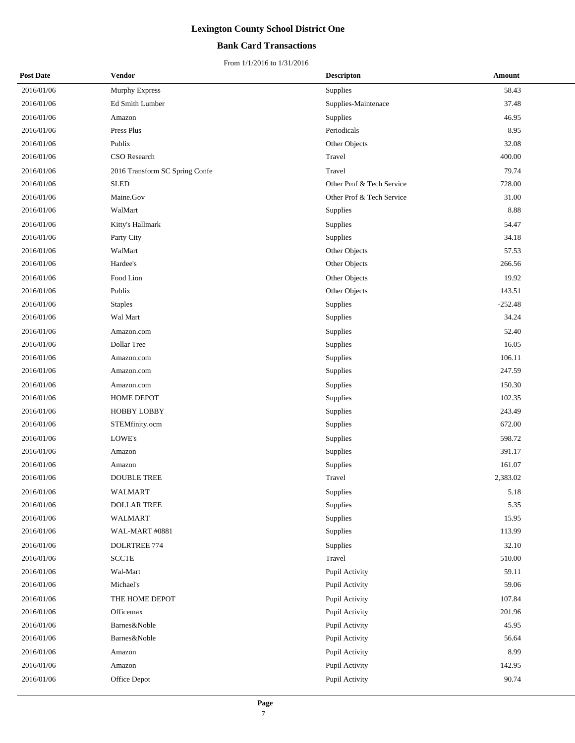## **Bank Card Transactions**

| <b>Post Date</b> | Vendor                         | <b>Descripton</b>         | Amount    |
|------------------|--------------------------------|---------------------------|-----------|
| 2016/01/06       | <b>Murphy Express</b>          | Supplies                  | 58.43     |
| 2016/01/06       | Ed Smith Lumber                | Supplies-Maintenace       | 37.48     |
| 2016/01/06       | Amazon                         | Supplies                  | 46.95     |
| 2016/01/06       | Press Plus                     | Periodicals               | 8.95      |
| 2016/01/06       | Publix                         | Other Objects             | 32.08     |
| 2016/01/06       | CSO Research                   | Travel                    | 400.00    |
| 2016/01/06       | 2016 Transform SC Spring Confe | Travel                    | 79.74     |
| 2016/01/06       | <b>SLED</b>                    | Other Prof & Tech Service | 728.00    |
| 2016/01/06       | Maine.Gov                      | Other Prof & Tech Service | 31.00     |
| 2016/01/06       | WalMart                        | Supplies                  | 8.88      |
| 2016/01/06       | Kitty's Hallmark               | Supplies                  | 54.47     |
| 2016/01/06       | Party City                     | Supplies                  | 34.18     |
| 2016/01/06       | WalMart                        | Other Objects             | 57.53     |
| 2016/01/06       | Hardee's                       | Other Objects             | 266.56    |
| 2016/01/06       | Food Lion                      | Other Objects             | 19.92     |
| 2016/01/06       | Publix                         | Other Objects             | 143.51    |
| 2016/01/06       | <b>Staples</b>                 | Supplies                  | $-252.48$ |
| 2016/01/06       | Wal Mart                       | Supplies                  | 34.24     |
| 2016/01/06       | Amazon.com                     | Supplies                  | 52.40     |
| 2016/01/06       | Dollar Tree                    | Supplies                  | 16.05     |
| 2016/01/06       | Amazon.com                     | Supplies                  | 106.11    |
| 2016/01/06       | Amazon.com                     | Supplies                  | 247.59    |
| 2016/01/06       | Amazon.com                     | Supplies                  | 150.30    |
| 2016/01/06       | <b>HOME DEPOT</b>              | Supplies                  | 102.35    |
| 2016/01/06       | <b>HOBBY LOBBY</b>             | Supplies                  | 243.49    |
| 2016/01/06       | STEMfinity.ocm                 | Supplies                  | 672.00    |
| 2016/01/06       | LOWE's                         | Supplies                  | 598.72    |
| 2016/01/06       | Amazon                         | Supplies                  | 391.17    |
| 2016/01/06       | Amazon                         | Supplies                  | 161.07    |
| 2016/01/06       | <b>DOUBLE TREE</b>             | Travel                    | 2,383.02  |
| 2016/01/06       | <b>WALMART</b>                 | Supplies                  | 5.18      |
| 2016/01/06       | DOLLAR TREE                    | Supplies                  | 5.35      |
| 2016/01/06       | <b>WALMART</b>                 | Supplies                  | 15.95     |
| 2016/01/06       | WAL-MART #0881                 | Supplies                  | 113.99    |
| 2016/01/06       | DOLRTREE 774                   | Supplies                  | 32.10     |
| 2016/01/06       | <b>SCCTE</b>                   | Travel                    | 510.00    |
| 2016/01/06       | Wal-Mart                       | Pupil Activity            | 59.11     |
| 2016/01/06       | Michael's                      | Pupil Activity            | 59.06     |
| 2016/01/06       | THE HOME DEPOT                 | Pupil Activity            | 107.84    |
| 2016/01/06       | Officemax                      | Pupil Activity            | 201.96    |
| 2016/01/06       | Barnes&Noble                   | Pupil Activity            | 45.95     |
| 2016/01/06       | Barnes&Noble                   | Pupil Activity            | 56.64     |
| 2016/01/06       | Amazon                         | Pupil Activity            | 8.99      |
| 2016/01/06       | Amazon                         | Pupil Activity            | 142.95    |
| 2016/01/06       | Office Depot                   | Pupil Activity            | 90.74     |
|                  |                                |                           |           |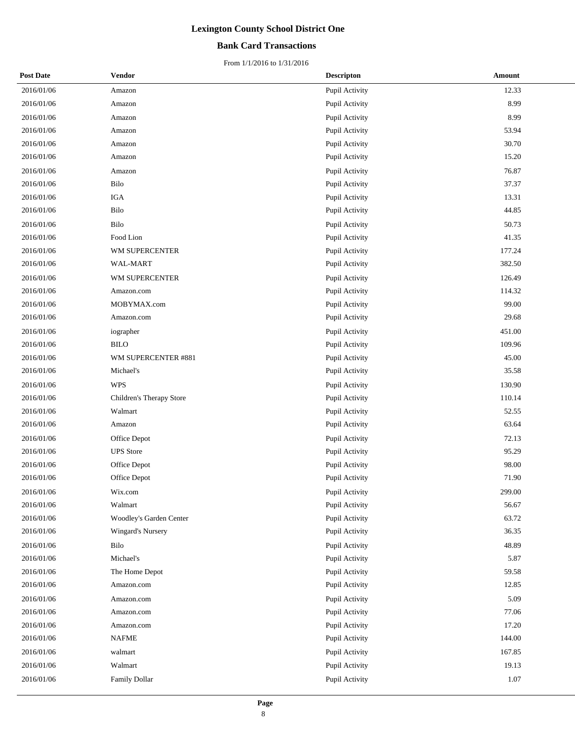## **Bank Card Transactions**

| <b>Post Date</b> | Vendor                   | <b>Descripton</b> | Amount |
|------------------|--------------------------|-------------------|--------|
| 2016/01/06       | Amazon                   | Pupil Activity    | 12.33  |
| 2016/01/06       | Amazon                   | Pupil Activity    | 8.99   |
| 2016/01/06       | Amazon                   | Pupil Activity    | 8.99   |
| 2016/01/06       | Amazon                   | Pupil Activity    | 53.94  |
| 2016/01/06       | Amazon                   | Pupil Activity    | 30.70  |
| 2016/01/06       | Amazon                   | Pupil Activity    | 15.20  |
| 2016/01/06       | Amazon                   | Pupil Activity    | 76.87  |
| 2016/01/06       | Bilo                     | Pupil Activity    | 37.37  |
| 2016/01/06       | <b>IGA</b>               | Pupil Activity    | 13.31  |
| 2016/01/06       | Bilo                     | Pupil Activity    | 44.85  |
| 2016/01/06       | Bilo                     | Pupil Activity    | 50.73  |
| 2016/01/06       | Food Lion                | Pupil Activity    | 41.35  |
| 2016/01/06       | WM SUPERCENTER           | Pupil Activity    | 177.24 |
| 2016/01/06       | WAL-MART                 | Pupil Activity    | 382.50 |
| 2016/01/06       | WM SUPERCENTER           | Pupil Activity    | 126.49 |
| 2016/01/06       | Amazon.com               | Pupil Activity    | 114.32 |
| 2016/01/06       | MOBYMAX.com              | Pupil Activity    | 99.00  |
| 2016/01/06       | Amazon.com               | Pupil Activity    | 29.68  |
| 2016/01/06       | iographer                | Pupil Activity    | 451.00 |
| 2016/01/06       | <b>BILO</b>              | Pupil Activity    | 109.96 |
| 2016/01/06       | WM SUPERCENTER #881      | Pupil Activity    | 45.00  |
| 2016/01/06       | Michael's                | Pupil Activity    | 35.58  |
| 2016/01/06       | <b>WPS</b>               | Pupil Activity    | 130.90 |
| 2016/01/06       | Children's Therapy Store | Pupil Activity    | 110.14 |
| 2016/01/06       | Walmart                  | Pupil Activity    | 52.55  |
| 2016/01/06       | Amazon                   | Pupil Activity    | 63.64  |
| 2016/01/06       | Office Depot             | Pupil Activity    | 72.13  |
| 2016/01/06       | <b>UPS</b> Store         | Pupil Activity    | 95.29  |
| 2016/01/06       | Office Depot             | Pupil Activity    | 98.00  |
| 2016/01/06       | Office Depot             | Pupil Activity    | 71.90  |
| 2016/01/06       | Wix.com                  | Pupil Activity    | 299.00 |
| 2016/01/06       | Walmart                  | Pupil Activity    | 56.67  |
| 2016/01/06       | Woodley's Garden Center  | Pupil Activity    | 63.72  |
| 2016/01/06       | <b>Wingard's Nursery</b> | Pupil Activity    | 36.35  |
| 2016/01/06       | Bilo                     | Pupil Activity    | 48.89  |
| 2016/01/06       | Michael's                | Pupil Activity    | 5.87   |
| 2016/01/06       | The Home Depot           | Pupil Activity    | 59.58  |
| 2016/01/06       | Amazon.com               | Pupil Activity    | 12.85  |
| 2016/01/06       | Amazon.com               | Pupil Activity    | 5.09   |
| 2016/01/06       | Amazon.com               | Pupil Activity    | 77.06  |
| 2016/01/06       | Amazon.com               | Pupil Activity    | 17.20  |
| 2016/01/06       | NAFME                    | Pupil Activity    | 144.00 |
| 2016/01/06       | walmart                  | Pupil Activity    | 167.85 |
| 2016/01/06       | Walmart                  | Pupil Activity    | 19.13  |
| 2016/01/06       | Family Dollar            | Pupil Activity    | 1.07   |
|                  |                          |                   |        |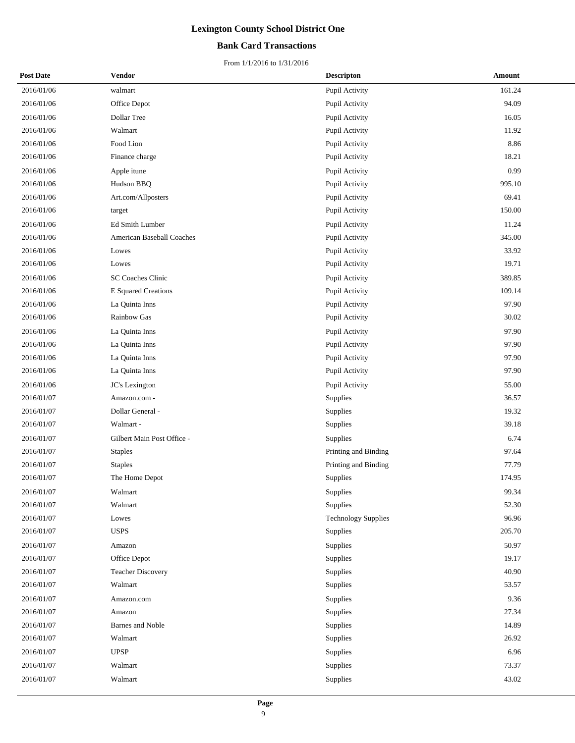## **Bank Card Transactions**

| <b>Post Date</b> | <b>Vendor</b>              | <b>Descripton</b>          | Amount |
|------------------|----------------------------|----------------------------|--------|
| 2016/01/06       | walmart                    | Pupil Activity             | 161.24 |
| 2016/01/06       | Office Depot               | Pupil Activity             | 94.09  |
| 2016/01/06       | Dollar Tree                | Pupil Activity             | 16.05  |
| 2016/01/06       | Walmart                    | Pupil Activity             | 11.92  |
| 2016/01/06       | Food Lion                  | Pupil Activity             | 8.86   |
| 2016/01/06       | Finance charge             | Pupil Activity             | 18.21  |
| 2016/01/06       | Apple itune                | Pupil Activity             | 0.99   |
| 2016/01/06       | Hudson BBQ                 | Pupil Activity             | 995.10 |
| 2016/01/06       | Art.com/Allposters         | Pupil Activity             | 69.41  |
| 2016/01/06       | target                     | Pupil Activity             | 150.00 |
| 2016/01/06       | Ed Smith Lumber            | Pupil Activity             | 11.24  |
| 2016/01/06       | American Baseball Coaches  | Pupil Activity             | 345.00 |
| 2016/01/06       | Lowes                      | Pupil Activity             | 33.92  |
| 2016/01/06       | Lowes                      | Pupil Activity             | 19.71  |
| 2016/01/06       | SC Coaches Clinic          | Pupil Activity             | 389.85 |
| 2016/01/06       | <b>E</b> Squared Creations | Pupil Activity             | 109.14 |
| 2016/01/06       | La Quinta Inns             | Pupil Activity             | 97.90  |
| 2016/01/06       | Rainbow Gas                | Pupil Activity             | 30.02  |
| 2016/01/06       | La Quinta Inns             | Pupil Activity             | 97.90  |
| 2016/01/06       | La Quinta Inns             | Pupil Activity             | 97.90  |
| 2016/01/06       | La Quinta Inns             | Pupil Activity             | 97.90  |
| 2016/01/06       | La Quinta Inns             | Pupil Activity             | 97.90  |
| 2016/01/06       | JC's Lexington             | Pupil Activity             | 55.00  |
| 2016/01/07       | Amazon.com -               | Supplies                   | 36.57  |
| 2016/01/07       | Dollar General -           | Supplies                   | 19.32  |
| 2016/01/07       | Walmart -                  | Supplies                   | 39.18  |
| 2016/01/07       | Gilbert Main Post Office - | Supplies                   | 6.74   |
| 2016/01/07       | <b>Staples</b>             | Printing and Binding       | 97.64  |
| 2016/01/07       | <b>Staples</b>             | Printing and Binding       | 77.79  |
| 2016/01/07       | The Home Depot             | Supplies                   | 174.95 |
| 2016/01/07       | Walmart                    | Supplies                   | 99.34  |
| 2016/01/07       | Walmart                    | Supplies                   | 52.30  |
| 2016/01/07       | Lowes                      | <b>Technology Supplies</b> | 96.96  |
| 2016/01/07       | <b>USPS</b>                | Supplies                   | 205.70 |
| 2016/01/07       | Amazon                     | Supplies                   | 50.97  |
| 2016/01/07       | Office Depot               | Supplies                   | 19.17  |
| 2016/01/07       | <b>Teacher Discovery</b>   | Supplies                   | 40.90  |
| 2016/01/07       | Walmart                    | Supplies                   | 53.57  |
| 2016/01/07       | Amazon.com                 | Supplies                   | 9.36   |
| 2016/01/07       | Amazon                     | Supplies                   | 27.34  |
| 2016/01/07       | Barnes and Noble           | Supplies                   | 14.89  |
| 2016/01/07       | Walmart                    | Supplies                   | 26.92  |
| 2016/01/07       | <b>UPSP</b>                | Supplies                   | 6.96   |
| 2016/01/07       | Walmart                    | Supplies                   | 73.37  |
| 2016/01/07       | Walmart                    | Supplies                   | 43.02  |
|                  |                            |                            |        |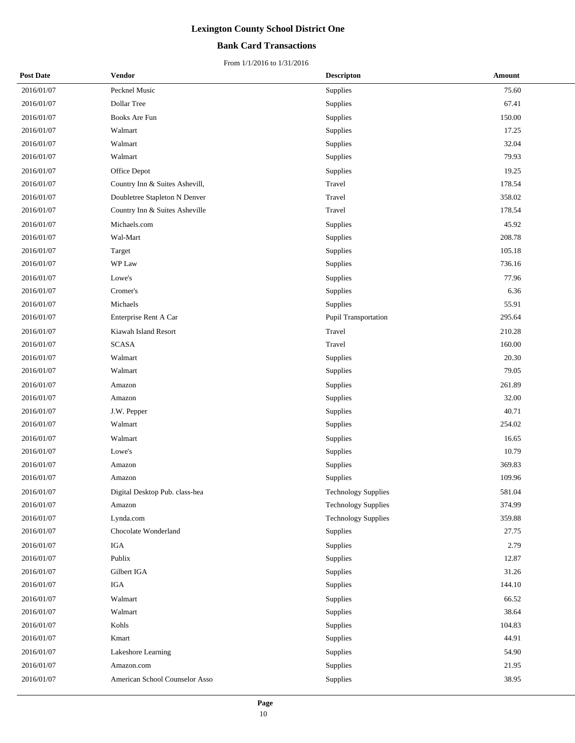## **Bank Card Transactions**

| <b>Post Date</b> | Vendor                         | <b>Descripton</b>          | Amount |
|------------------|--------------------------------|----------------------------|--------|
| 2016/01/07       | Pecknel Music                  | Supplies                   | 75.60  |
| 2016/01/07       | Dollar Tree                    | Supplies                   | 67.41  |
| 2016/01/07       | Books Are Fun                  | Supplies                   | 150.00 |
| 2016/01/07       | Walmart                        | Supplies                   | 17.25  |
| 2016/01/07       | Walmart                        | Supplies                   | 32.04  |
| 2016/01/07       | Walmart                        | Supplies                   | 79.93  |
| 2016/01/07       | Office Depot                   | Supplies                   | 19.25  |
| 2016/01/07       | Country Inn & Suites Ashevill, | Travel                     | 178.54 |
| 2016/01/07       | Doubletree Stapleton N Denver  | Travel                     | 358.02 |
| 2016/01/07       | Country Inn & Suites Asheville | Travel                     | 178.54 |
| 2016/01/07       | Michaels.com                   | Supplies                   | 45.92  |
| 2016/01/07       | Wal-Mart                       | Supplies                   | 208.78 |
| 2016/01/07       | Target                         | Supplies                   | 105.18 |
| 2016/01/07       | WP Law                         | Supplies                   | 736.16 |
| 2016/01/07       | Lowe's                         | Supplies                   | 77.96  |
| 2016/01/07       | Cromer's                       | Supplies                   | 6.36   |
| 2016/01/07       | Michaels                       | Supplies                   | 55.91  |
| 2016/01/07       | Enterprise Rent A Car          | Pupil Transportation       | 295.64 |
| 2016/01/07       | Kiawah Island Resort           | Travel                     | 210.28 |
| 2016/01/07       | <b>SCASA</b>                   | Travel                     | 160.00 |
| 2016/01/07       | Walmart                        | Supplies                   | 20.30  |
| 2016/01/07       | Walmart                        | Supplies                   | 79.05  |
| 2016/01/07       | Amazon                         | Supplies                   | 261.89 |
| 2016/01/07       | Amazon                         | Supplies                   | 32.00  |
| 2016/01/07       | J.W. Pepper                    | Supplies                   | 40.71  |
| 2016/01/07       | Walmart                        | Supplies                   | 254.02 |
| 2016/01/07       | Walmart                        | Supplies                   | 16.65  |
| 2016/01/07       | Lowe's                         | Supplies                   | 10.79  |
| 2016/01/07       | Amazon                         | Supplies                   | 369.83 |
| 2016/01/07       | Amazon                         | Supplies                   | 109.96 |
| 2016/01/07       | Digital Desktop Pub. class-hea | <b>Technology Supplies</b> | 581.04 |
| 2016/01/07       | Amazon                         | <b>Technology Supplies</b> | 374.99 |
| 2016/01/07       | Lynda.com                      | <b>Technology Supplies</b> | 359.88 |
| 2016/01/07       | Chocolate Wonderland           | Supplies                   | 27.75  |
| 2016/01/07       | IGA                            | Supplies                   | 2.79   |
| 2016/01/07       | Publix                         | Supplies                   | 12.87  |
| 2016/01/07       | Gilbert IGA                    | Supplies                   | 31.26  |
| 2016/01/07       | IGA                            | Supplies                   | 144.10 |
| 2016/01/07       | Walmart                        | Supplies                   | 66.52  |
| 2016/01/07       | Walmart                        | Supplies                   | 38.64  |
| 2016/01/07       | Kohls                          | Supplies                   | 104.83 |
| 2016/01/07       | Kmart                          | Supplies                   | 44.91  |
| 2016/01/07       | Lakeshore Learning             | Supplies                   | 54.90  |
| 2016/01/07       | Amazon.com                     | Supplies                   | 21.95  |
| 2016/01/07       | American School Counselor Asso | Supplies                   | 38.95  |
|                  |                                |                            |        |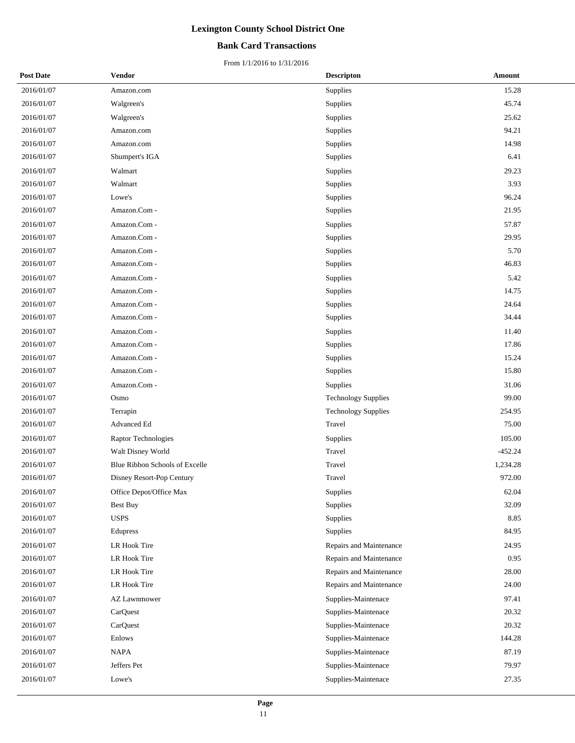## **Bank Card Transactions**

| <b>Post Date</b> | Vendor                         | <b>Descripton</b>          | Amount    |
|------------------|--------------------------------|----------------------------|-----------|
| 2016/01/07       | Amazon.com                     | Supplies                   | 15.28     |
| 2016/01/07       | Walgreen's                     | Supplies                   | 45.74     |
| 2016/01/07       | Walgreen's                     | Supplies                   | 25.62     |
| 2016/01/07       | Amazon.com                     | Supplies                   | 94.21     |
| 2016/01/07       | Amazon.com                     | Supplies                   | 14.98     |
| 2016/01/07       | Shumpert's IGA                 | Supplies                   | 6.41      |
| 2016/01/07       | Walmart                        | Supplies                   | 29.23     |
| 2016/01/07       | Walmart                        | Supplies                   | 3.93      |
| 2016/01/07       | Lowe's                         | Supplies                   | 96.24     |
| 2016/01/07       | Amazon.Com -                   | Supplies                   | 21.95     |
| 2016/01/07       | Amazon.Com -                   | Supplies                   | 57.87     |
| 2016/01/07       | Amazon.Com -                   | Supplies                   | 29.95     |
| 2016/01/07       | Amazon.Com -                   | Supplies                   | 5.70      |
| 2016/01/07       | Amazon.Com -                   | Supplies                   | 46.83     |
| 2016/01/07       | Amazon.Com -                   | Supplies                   | 5.42      |
| 2016/01/07       | Amazon.Com -                   | Supplies                   | 14.75     |
| 2016/01/07       | Amazon.Com -                   | Supplies                   | 24.64     |
| 2016/01/07       | Amazon.Com -                   | Supplies                   | 34.44     |
| 2016/01/07       | Amazon.Com -                   | Supplies                   | 11.40     |
| 2016/01/07       | Amazon.Com -                   | Supplies                   | 17.86     |
| 2016/01/07       | Amazon.Com -                   | Supplies                   | 15.24     |
| 2016/01/07       | Amazon.Com -                   | Supplies                   | 15.80     |
| 2016/01/07       | Amazon.Com -                   | Supplies                   | 31.06     |
| 2016/01/07       | Osmo                           | <b>Technology Supplies</b> | 99.00     |
| 2016/01/07       | Terrapin                       | <b>Technology Supplies</b> | 254.95    |
| 2016/01/07       | Advanced Ed                    | Travel                     | 75.00     |
| 2016/01/07       | Raptor Technologies            | Supplies                   | 105.00    |
| 2016/01/07       | Walt Disney World              | Travel                     | $-452.24$ |
| 2016/01/07       | Blue Ribbon Schools of Excelle | Travel                     | 1,234.28  |
| 2016/01/07       | Disney Resort-Pop Century      | Travel                     | 972.00    |
| 2016/01/07       | Office Depot/Office Max        | Supplies                   | 62.04     |
| 2016/01/07       | Best Buy                       | Supplies                   | 32.09     |
| 2016/01/07       | <b>USPS</b>                    | Supplies                   | 8.85      |
| 2016/01/07       | Edupress                       | Supplies                   | 84.95     |
| 2016/01/07       | LR Hook Tire                   | Repairs and Maintenance    | 24.95     |
| 2016/01/07       | LR Hook Tire                   | Repairs and Maintenance    | 0.95      |
| 2016/01/07       | LR Hook Tire                   | Repairs and Maintenance    | 28.00     |
| 2016/01/07       | LR Hook Tire                   | Repairs and Maintenance    | 24.00     |
| 2016/01/07       | <b>AZ Lawnmower</b>            | Supplies-Maintenace        | 97.41     |
| 2016/01/07       | CarQuest                       | Supplies-Maintenace        | 20.32     |
| 2016/01/07       | CarQuest                       | Supplies-Maintenace        | 20.32     |
| 2016/01/07       | Enlows                         | Supplies-Maintenace        | 144.28    |
| 2016/01/07       | NAPA                           | Supplies-Maintenace        | 87.19     |
| 2016/01/07       | Jeffers Pet                    | Supplies-Maintenace        | 79.97     |
| 2016/01/07       | Lowe's                         | Supplies-Maintenace        | 27.35     |
|                  |                                |                            |           |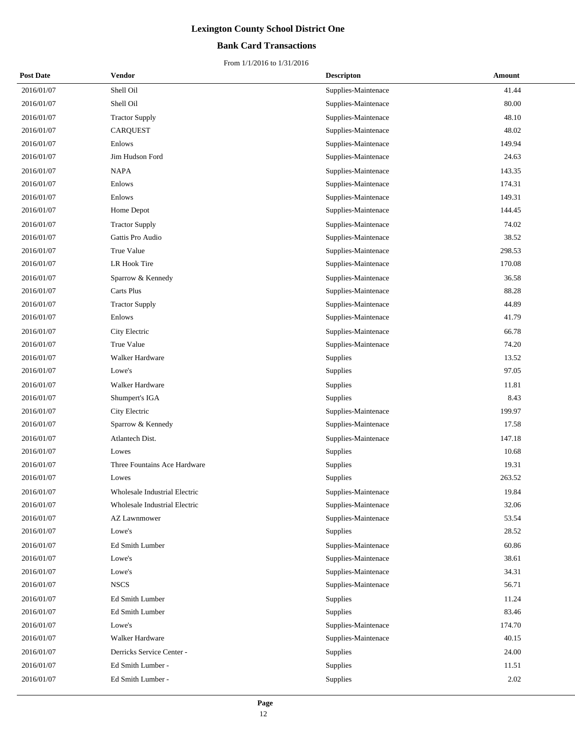## **Bank Card Transactions**

| <b>Post Date</b> | Vendor                        | <b>Descripton</b>   | Amount |
|------------------|-------------------------------|---------------------|--------|
| 2016/01/07       | Shell Oil                     | Supplies-Maintenace | 41.44  |
| 2016/01/07       | Shell Oil                     | Supplies-Maintenace | 80.00  |
| 2016/01/07       | <b>Tractor Supply</b>         | Supplies-Maintenace | 48.10  |
| 2016/01/07       | <b>CARQUEST</b>               | Supplies-Maintenace | 48.02  |
| 2016/01/07       | Enlows                        | Supplies-Maintenace | 149.94 |
| 2016/01/07       | Jim Hudson Ford               | Supplies-Maintenace | 24.63  |
| 2016/01/07       | <b>NAPA</b>                   | Supplies-Maintenace | 143.35 |
| 2016/01/07       | Enlows                        | Supplies-Maintenace | 174.31 |
| 2016/01/07       | Enlows                        | Supplies-Maintenace | 149.31 |
| 2016/01/07       | Home Depot                    | Supplies-Maintenace | 144.45 |
| 2016/01/07       | <b>Tractor Supply</b>         | Supplies-Maintenace | 74.02  |
| 2016/01/07       | Gattis Pro Audio              | Supplies-Maintenace | 38.52  |
| 2016/01/07       | True Value                    | Supplies-Maintenace | 298.53 |
| 2016/01/07       | LR Hook Tire                  | Supplies-Maintenace | 170.08 |
| 2016/01/07       | Sparrow & Kennedy             | Supplies-Maintenace | 36.58  |
| 2016/01/07       | <b>Carts Plus</b>             | Supplies-Maintenace | 88.28  |
| 2016/01/07       | <b>Tractor Supply</b>         | Supplies-Maintenace | 44.89  |
| 2016/01/07       | Enlows                        | Supplies-Maintenace | 41.79  |
| 2016/01/07       | City Electric                 | Supplies-Maintenace | 66.78  |
| 2016/01/07       | True Value                    | Supplies-Maintenace | 74.20  |
| 2016/01/07       | Walker Hardware               | <b>Supplies</b>     | 13.52  |
| 2016/01/07       | Lowe's                        | Supplies            | 97.05  |
| 2016/01/07       | Walker Hardware               | <b>Supplies</b>     | 11.81  |
| 2016/01/07       | Shumpert's IGA                | Supplies            | 8.43   |
| 2016/01/07       | City Electric                 | Supplies-Maintenace | 199.97 |
| 2016/01/07       | Sparrow & Kennedy             | Supplies-Maintenace | 17.58  |
| 2016/01/07       | Atlantech Dist.               | Supplies-Maintenace | 147.18 |
| 2016/01/07       | Lowes                         | Supplies            | 10.68  |
| 2016/01/07       | Three Fountains Ace Hardware  | Supplies            | 19.31  |
| 2016/01/07       | Lowes                         | Supplies            | 263.52 |
| 2016/01/07       | Wholesale Industrial Electric | Supplies-Maintenace | 19.84  |
| 2016/01/07       | Wholesale Industrial Electric | Supplies-Maintenace | 32.06  |
| 2016/01/07       | <b>AZ Lawnmower</b>           | Supplies-Maintenace | 53.54  |
| 2016/01/07       | Lowe's                        | Supplies            | 28.52  |
| 2016/01/07       | Ed Smith Lumber               | Supplies-Maintenace | 60.86  |
| 2016/01/07       | Lowe's                        | Supplies-Maintenace | 38.61  |
| 2016/01/07       | Lowe's                        | Supplies-Maintenace | 34.31  |
| 2016/01/07       | <b>NSCS</b>                   | Supplies-Maintenace | 56.71  |
| 2016/01/07       | Ed Smith Lumber               | Supplies            | 11.24  |
| 2016/01/07       | Ed Smith Lumber               | Supplies            | 83.46  |
| 2016/01/07       | Lowe's                        | Supplies-Maintenace | 174.70 |
| 2016/01/07       | Walker Hardware               | Supplies-Maintenace | 40.15  |
| 2016/01/07       | Derricks Service Center -     | Supplies            | 24.00  |
| 2016/01/07       | Ed Smith Lumber -             | Supplies            | 11.51  |
| 2016/01/07       | Ed Smith Lumber -             | Supplies            | 2.02   |
|                  |                               |                     |        |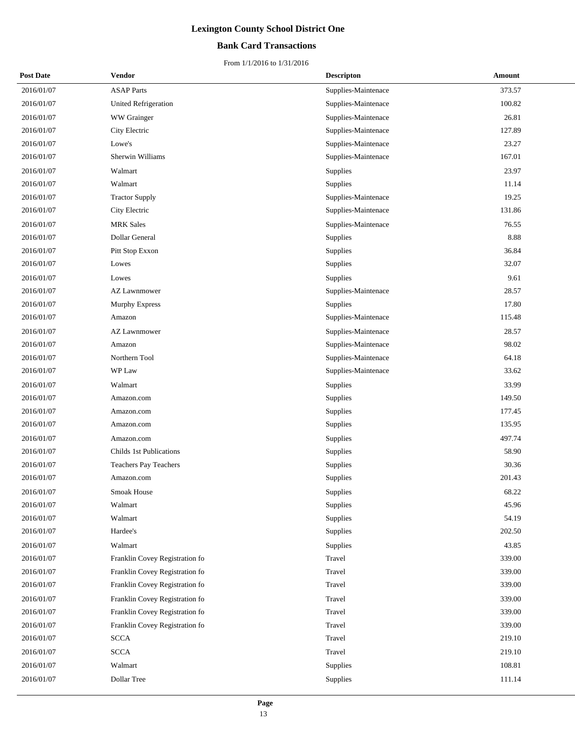## **Bank Card Transactions**

| <b>Post Date</b> | Vendor                         | <b>Descripton</b>   | <b>Amount</b> |
|------------------|--------------------------------|---------------------|---------------|
| 2016/01/07       | <b>ASAP</b> Parts              | Supplies-Maintenace | 373.57        |
| 2016/01/07       | <b>United Refrigeration</b>    | Supplies-Maintenace | 100.82        |
| 2016/01/07       | WW Grainger                    | Supplies-Maintenace | 26.81         |
| 2016/01/07       | City Electric                  | Supplies-Maintenace | 127.89        |
| 2016/01/07       | Lowe's                         | Supplies-Maintenace | 23.27         |
| 2016/01/07       | Sherwin Williams               | Supplies-Maintenace | 167.01        |
| 2016/01/07       | Walmart                        | Supplies            | 23.97         |
| 2016/01/07       | Walmart                        | Supplies            | 11.14         |
| 2016/01/07       | <b>Tractor Supply</b>          | Supplies-Maintenace | 19.25         |
| 2016/01/07       | City Electric                  | Supplies-Maintenace | 131.86        |
| 2016/01/07       | <b>MRK</b> Sales               | Supplies-Maintenace | 76.55         |
| 2016/01/07       | Dollar General                 | Supplies            | 8.88          |
| 2016/01/07       | Pitt Stop Exxon                | Supplies            | 36.84         |
| 2016/01/07       | Lowes                          | Supplies            | 32.07         |
| 2016/01/07       | Lowes                          | Supplies            | 9.61          |
| 2016/01/07       | <b>AZ Lawnmower</b>            | Supplies-Maintenace | 28.57         |
| 2016/01/07       | <b>Murphy Express</b>          | Supplies            | 17.80         |
| 2016/01/07       | Amazon                         | Supplies-Maintenace | 115.48        |
| 2016/01/07       | <b>AZ Lawnmower</b>            | Supplies-Maintenace | 28.57         |
| 2016/01/07       | Amazon                         | Supplies-Maintenace | 98.02         |
| 2016/01/07       | Northern Tool                  | Supplies-Maintenace | 64.18         |
| 2016/01/07       | WP Law                         | Supplies-Maintenace | 33.62         |
| 2016/01/07       | Walmart                        | Supplies            | 33.99         |
| 2016/01/07       | Amazon.com                     | Supplies            | 149.50        |
| 2016/01/07       | Amazon.com                     | Supplies            | 177.45        |
| 2016/01/07       | Amazon.com                     | Supplies            | 135.95        |
| 2016/01/07       | Amazon.com                     | Supplies            | 497.74        |
| 2016/01/07       | Childs 1st Publications        | Supplies            | 58.90         |
| 2016/01/07       | <b>Teachers Pay Teachers</b>   | Supplies            | 30.36         |
| 2016/01/07       | Amazon.com                     | Supplies            | 201.43        |
| 2016/01/07       | <b>Smoak House</b>             | Supplies            | 68.22         |
| 2016/01/07       | Walmart                        | Supplies            | 45.96         |
| 2016/01/07       | Walmart                        | Supplies            | 54.19         |
| 2016/01/07       | Hardee's                       | Supplies            | 202.50        |
| 2016/01/07       | Walmart                        | Supplies            | 43.85         |
| 2016/01/07       | Franklin Covey Registration fo | Travel              | 339.00        |
| 2016/01/07       | Franklin Covey Registration fo | Travel              | 339.00        |
| 2016/01/07       | Franklin Covey Registration fo | Travel              | 339.00        |
| 2016/01/07       | Franklin Covey Registration fo | Travel              | 339.00        |
| 2016/01/07       | Franklin Covey Registration fo | Travel              | 339.00        |
| 2016/01/07       | Franklin Covey Registration fo | Travel              | 339.00        |
| 2016/01/07       | <b>SCCA</b>                    | Travel              | 219.10        |
| 2016/01/07       | <b>SCCA</b>                    | Travel              | 219.10        |
| 2016/01/07       | Walmart                        | Supplies            | 108.81        |
| 2016/01/07       | Dollar Tree                    | Supplies            | 111.14        |
|                  |                                |                     |               |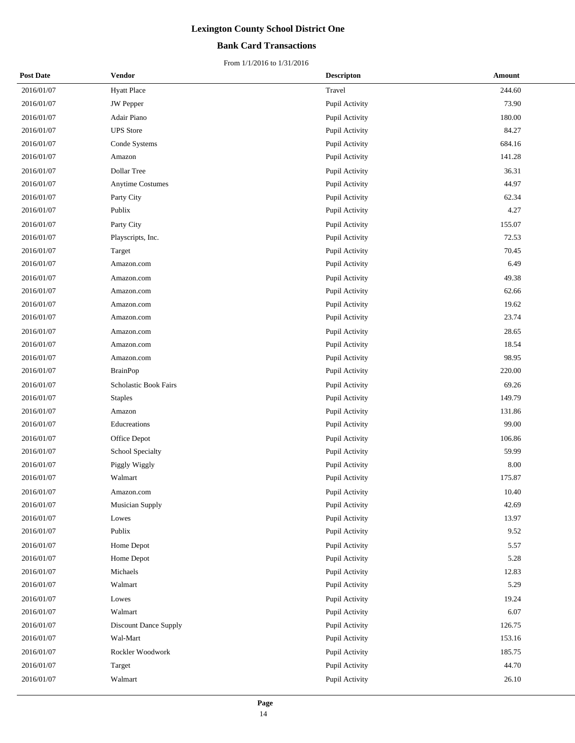## **Bank Card Transactions**

| <b>Post Date</b> | Vendor                  | <b>Descripton</b> | Amount |
|------------------|-------------------------|-------------------|--------|
| 2016/01/07       | <b>Hyatt Place</b>      | Travel            | 244.60 |
| 2016/01/07       | <b>JW</b> Pepper        | Pupil Activity    | 73.90  |
| 2016/01/07       | Adair Piano             | Pupil Activity    | 180.00 |
| 2016/01/07       | <b>UPS</b> Store        | Pupil Activity    | 84.27  |
| 2016/01/07       | Conde Systems           | Pupil Activity    | 684.16 |
| 2016/01/07       | Amazon                  | Pupil Activity    | 141.28 |
| 2016/01/07       | Dollar Tree             | Pupil Activity    | 36.31  |
| 2016/01/07       | <b>Anytime Costumes</b> | Pupil Activity    | 44.97  |
| 2016/01/07       | Party City              | Pupil Activity    | 62.34  |
| 2016/01/07       | Publix                  | Pupil Activity    | 4.27   |
| 2016/01/07       | Party City              | Pupil Activity    | 155.07 |
| 2016/01/07       | Playscripts, Inc.       | Pupil Activity    | 72.53  |
| 2016/01/07       | Target                  | Pupil Activity    | 70.45  |
| 2016/01/07       | Amazon.com              | Pupil Activity    | 6.49   |
| 2016/01/07       | Amazon.com              | Pupil Activity    | 49.38  |
| 2016/01/07       | Amazon.com              | Pupil Activity    | 62.66  |
| 2016/01/07       | Amazon.com              | Pupil Activity    | 19.62  |
| 2016/01/07       | Amazon.com              | Pupil Activity    | 23.74  |
| 2016/01/07       | Amazon.com              | Pupil Activity    | 28.65  |
| 2016/01/07       | Amazon.com              | Pupil Activity    | 18.54  |
| 2016/01/07       | Amazon.com              | Pupil Activity    | 98.95  |
| 2016/01/07       | <b>BrainPop</b>         | Pupil Activity    | 220.00 |
| 2016/01/07       | Scholastic Book Fairs   | Pupil Activity    | 69.26  |
| 2016/01/07       | <b>Staples</b>          | Pupil Activity    | 149.79 |
| 2016/01/07       | Amazon                  | Pupil Activity    | 131.86 |
| 2016/01/07       | Educreations            | Pupil Activity    | 99.00  |
| 2016/01/07       | Office Depot            | Pupil Activity    | 106.86 |
| 2016/01/07       | School Specialty        | Pupil Activity    | 59.99  |
| 2016/01/07       | Piggly Wiggly           | Pupil Activity    | 8.00   |
| 2016/01/07       | Walmart                 | Pupil Activity    | 175.87 |
| 2016/01/07       | Amazon.com              | Pupil Activity    | 10.40  |
| 2016/01/07       | <b>Musician Supply</b>  | Pupil Activity    | 42.69  |
| 2016/01/07       | Lowes                   | Pupil Activity    | 13.97  |
| 2016/01/07       | Publix                  | Pupil Activity    | 9.52   |
| 2016/01/07       | Home Depot              | Pupil Activity    | 5.57   |
| 2016/01/07       | Home Depot              | Pupil Activity    | 5.28   |
| 2016/01/07       | Michaels                | Pupil Activity    | 12.83  |
| 2016/01/07       | Walmart                 | Pupil Activity    | 5.29   |
| 2016/01/07       | Lowes                   | Pupil Activity    | 19.24  |
| 2016/01/07       | Walmart                 | Pupil Activity    | 6.07   |
| 2016/01/07       | Discount Dance Supply   | Pupil Activity    | 126.75 |
| 2016/01/07       | Wal-Mart                | Pupil Activity    | 153.16 |
| 2016/01/07       | Rockler Woodwork        | Pupil Activity    | 185.75 |
| 2016/01/07       | Target                  | Pupil Activity    | 44.70  |
| 2016/01/07       | Walmart                 | Pupil Activity    | 26.10  |
|                  |                         |                   |        |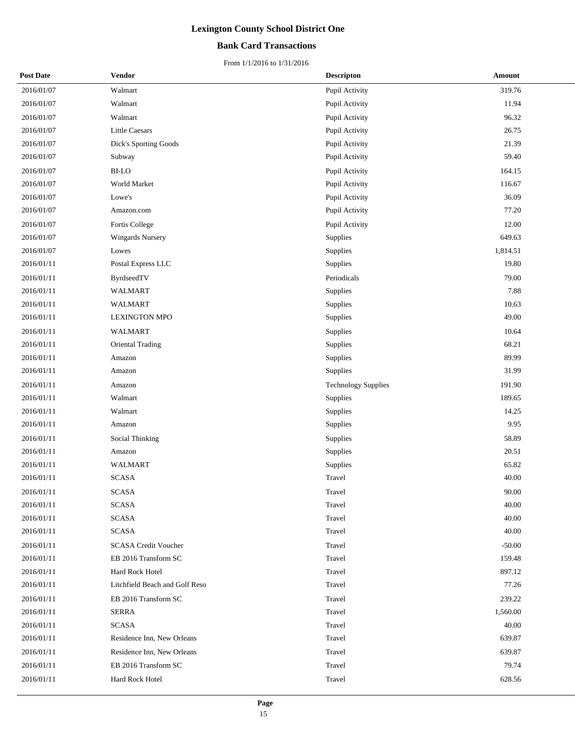## **Bank Card Transactions**

| <b>Post Date</b> | <b>Vendor</b>                  | <b>Descripton</b>          | Amount   |
|------------------|--------------------------------|----------------------------|----------|
| 2016/01/07       | Walmart                        | Pupil Activity             | 319.76   |
| 2016/01/07       | Walmart                        | Pupil Activity             | 11.94    |
| 2016/01/07       | Walmart                        | Pupil Activity             | 96.32    |
| 2016/01/07       | <b>Little Caesars</b>          | Pupil Activity             | 26.75    |
| 2016/01/07       | Dick's Sporting Goods          | Pupil Activity             | 21.39    |
| 2016/01/07       | Subway                         | Pupil Activity             | 59.40    |
| 2016/01/07       | <b>BI-LO</b>                   | Pupil Activity             | 164.15   |
| 2016/01/07       | World Market                   | Pupil Activity             | 116.67   |
| 2016/01/07       | Lowe's                         | Pupil Activity             | 36.09    |
| 2016/01/07       | Amazon.com                     | Pupil Activity             | 77.20    |
| 2016/01/07       | Fortis College                 | Pupil Activity             | 12.00    |
| 2016/01/07       | <b>Wingards Nursery</b>        | Supplies                   | 649.63   |
| 2016/01/07       | Lowes                          | Supplies                   | 1,814.51 |
| 2016/01/11       | Postal Express LLC             | Supplies                   | 19.80    |
| 2016/01/11       | ByrdseedTV                     | Periodicals                | 79.00    |
| 2016/01/11       | WALMART                        | Supplies                   | 7.88     |
| 2016/01/11       | <b>WALMART</b>                 | Supplies                   | 10.63    |
| 2016/01/11       | <b>LEXINGTON MPO</b>           | Supplies                   | 49.00    |
| 2016/01/11       | <b>WALMART</b>                 | Supplies                   | 10.64    |
| 2016/01/11       | Oriental Trading               | Supplies                   | 68.21    |
| 2016/01/11       | Amazon                         | Supplies                   | 89.99    |
| 2016/01/11       | Amazon                         | Supplies                   | 31.99    |
| 2016/01/11       | Amazon                         | <b>Technology Supplies</b> | 191.90   |
| 2016/01/11       | Walmart                        | Supplies                   | 189.65   |
| 2016/01/11       | Walmart                        | Supplies                   | 14.25    |
| 2016/01/11       | Amazon                         | Supplies                   | 9.95     |
| 2016/01/11       | Social Thinking                | Supplies                   | 58.89    |
| 2016/01/11       | Amazon                         | Supplies                   | 20.51    |
| 2016/01/11       | <b>WALMART</b>                 | Supplies                   | 65.82    |
| 2016/01/11       | <b>SCASA</b>                   | Travel                     | 40.00    |
| 2016/01/11       | <b>SCASA</b>                   | Travel                     | 90.00    |
| 2016/01/11       | <b>SCASA</b>                   | Travel                     | 40.00    |
| 2016/01/11       | <b>SCASA</b>                   | Travel                     | 40.00    |
| 2016/01/11       | <b>SCASA</b>                   | Travel                     | 40.00    |
| 2016/01/11       | <b>SCASA Credit Voucher</b>    | Travel                     | $-50.00$ |
| 2016/01/11       | EB 2016 Transform SC           | Travel                     | 159.48   |
| 2016/01/11       | Hard Rock Hotel                | Travel                     | 897.12   |
| 2016/01/11       | Litchfield Beach and Golf Reso | Travel                     | 77.26    |
| 2016/01/11       | EB 2016 Transform SC           | Travel                     | 239.22   |
| 2016/01/11       | <b>SERRA</b>                   | Travel                     | 1,560.00 |
| 2016/01/11       | <b>SCASA</b>                   | Travel                     | 40.00    |
| 2016/01/11       | Residence Inn, New Orleans     | Travel                     | 639.87   |
| 2016/01/11       | Residence Inn, New Orleans     | Travel                     | 639.87   |
| 2016/01/11       | EB 2016 Transform SC           | Travel                     | 79.74    |
| 2016/01/11       | Hard Rock Hotel                | Travel                     | 628.56   |
|                  |                                |                            |          |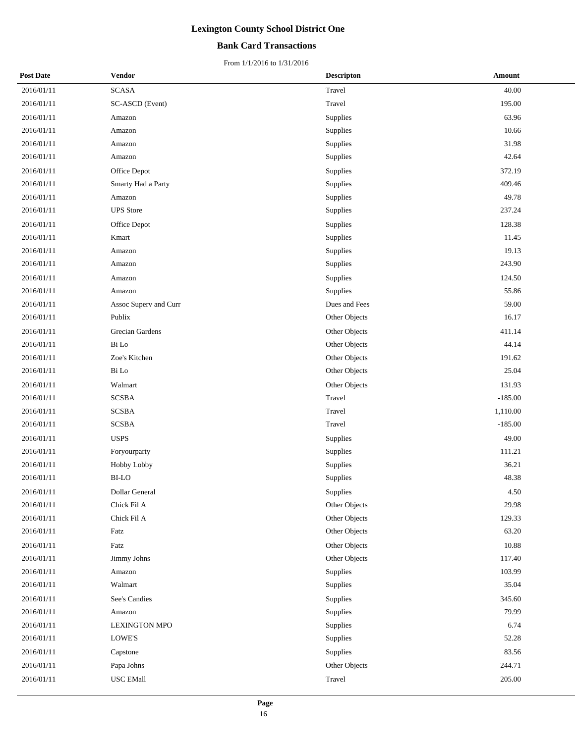## **Bank Card Transactions**

| <b>Post Date</b> | Vendor                | <b>Descripton</b> | Amount    |
|------------------|-----------------------|-------------------|-----------|
| 2016/01/11       | <b>SCASA</b>          | Travel            | 40.00     |
| 2016/01/11       | SC-ASCD (Event)       | Travel            | 195.00    |
| 2016/01/11       | Amazon                | Supplies          | 63.96     |
| 2016/01/11       | Amazon                | Supplies          | 10.66     |
| 2016/01/11       | Amazon                | Supplies          | 31.98     |
| 2016/01/11       | Amazon                | Supplies          | 42.64     |
| 2016/01/11       | Office Depot          | Supplies          | 372.19    |
| 2016/01/11       | Smarty Had a Party    | Supplies          | 409.46    |
| 2016/01/11       | Amazon                | Supplies          | 49.78     |
| 2016/01/11       | <b>UPS</b> Store      | Supplies          | 237.24    |
| 2016/01/11       | Office Depot          | Supplies          | 128.38    |
| 2016/01/11       | Kmart                 | Supplies          | 11.45     |
| 2016/01/11       | Amazon                | Supplies          | 19.13     |
| 2016/01/11       | Amazon                | Supplies          | 243.90    |
| 2016/01/11       | Amazon                | Supplies          | 124.50    |
| 2016/01/11       | Amazon                | Supplies          | 55.86     |
| 2016/01/11       | Assoc Superv and Curr | Dues and Fees     | 59.00     |
| 2016/01/11       | Publix                | Other Objects     | 16.17     |
| 2016/01/11       | Grecian Gardens       | Other Objects     | 411.14    |
| 2016/01/11       | Bi Lo                 | Other Objects     | 44.14     |
| 2016/01/11       | Zoe's Kitchen         | Other Objects     | 191.62    |
| 2016/01/11       | Bi Lo                 | Other Objects     | 25.04     |
| 2016/01/11       | Walmart               | Other Objects     | 131.93    |
| 2016/01/11       | <b>SCSBA</b>          | Travel            | $-185.00$ |
| 2016/01/11       | <b>SCSBA</b>          | Travel            | 1,110.00  |
| 2016/01/11       | <b>SCSBA</b>          | Travel            | $-185.00$ |
| 2016/01/11       | <b>USPS</b>           | Supplies          | 49.00     |
| 2016/01/11       | Foryourparty          | Supplies          | 111.21    |
| 2016/01/11       | Hobby Lobby           | Supplies          | 36.21     |
| 2016/01/11       | BI-LO                 | Supplies          | 48.38     |
| 2016/01/11       | Dollar General        | Supplies          | 4.50      |
| 2016/01/11       | Chick Fil A           | Other Objects     | 29.98     |
| 2016/01/11       | Chick Fil A           | Other Objects     | 129.33    |
| 2016/01/11       | Fatz                  | Other Objects     | 63.20     |
| 2016/01/11       | Fatz                  | Other Objects     | 10.88     |
| 2016/01/11       | Jimmy Johns           | Other Objects     | 117.40    |
| 2016/01/11       | Amazon                | Supplies          | 103.99    |
| 2016/01/11       | Walmart               | Supplies          | 35.04     |
| 2016/01/11       | See's Candies         | Supplies          | 345.60    |
| 2016/01/11       | Amazon                | Supplies          | 79.99     |
| 2016/01/11       | <b>LEXINGTON MPO</b>  | Supplies          | 6.74      |
| 2016/01/11       | LOWE'S                | Supplies          | 52.28     |
| 2016/01/11       | Capstone              | Supplies          | 83.56     |
| 2016/01/11       | Papa Johns            | Other Objects     | 244.71    |
| 2016/01/11       | <b>USC EMall</b>      | Travel            | 205.00    |
|                  |                       |                   |           |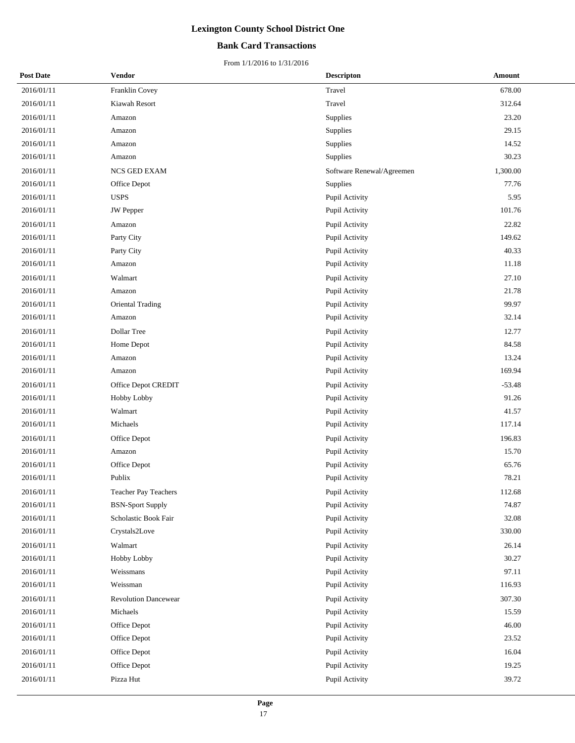## **Bank Card Transactions**

| <b>Post Date</b> | Vendor                      | <b>Descripton</b>         | Amount   |
|------------------|-----------------------------|---------------------------|----------|
| 2016/01/11       | Franklin Covey              | Travel                    | 678.00   |
| 2016/01/11       | Kiawah Resort               | Travel                    | 312.64   |
| 2016/01/11       | Amazon                      | Supplies                  | 23.20    |
| 2016/01/11       | Amazon                      | Supplies                  | 29.15    |
| 2016/01/11       | Amazon                      | Supplies                  | 14.52    |
| 2016/01/11       | Amazon                      | Supplies                  | 30.23    |
| 2016/01/11       | NCS GED EXAM                | Software Renewal/Agreemen | 1,300.00 |
| 2016/01/11       | Office Depot                | Supplies                  | 77.76    |
| 2016/01/11       | <b>USPS</b>                 | Pupil Activity            | 5.95     |
| 2016/01/11       | JW Pepper                   | Pupil Activity            | 101.76   |
| 2016/01/11       | Amazon                      | Pupil Activity            | 22.82    |
| 2016/01/11       | Party City                  | Pupil Activity            | 149.62   |
| 2016/01/11       | Party City                  | Pupil Activity            | 40.33    |
| 2016/01/11       | Amazon                      | Pupil Activity            | 11.18    |
| 2016/01/11       | Walmart                     | Pupil Activity            | 27.10    |
| 2016/01/11       | Amazon                      | Pupil Activity            | 21.78    |
| 2016/01/11       | Oriental Trading            | Pupil Activity            | 99.97    |
| 2016/01/11       | Amazon                      | Pupil Activity            | 32.14    |
| 2016/01/11       | Dollar Tree                 | Pupil Activity            | 12.77    |
| 2016/01/11       | Home Depot                  | Pupil Activity            | 84.58    |
| 2016/01/11       | Amazon                      | Pupil Activity            | 13.24    |
| 2016/01/11       | Amazon                      | Pupil Activity            | 169.94   |
| 2016/01/11       | Office Depot CREDIT         | Pupil Activity            | $-53.48$ |
| 2016/01/11       | Hobby Lobby                 | Pupil Activity            | 91.26    |
| 2016/01/11       | Walmart                     | Pupil Activity            | 41.57    |
| 2016/01/11       | Michaels                    | Pupil Activity            | 117.14   |
| 2016/01/11       | Office Depot                | Pupil Activity            | 196.83   |
| 2016/01/11       | Amazon                      | Pupil Activity            | 15.70    |
| 2016/01/11       | Office Depot                | Pupil Activity            | 65.76    |
| 2016/01/11       | Publix                      | Pupil Activity            | 78.21    |
| 2016/01/11       | <b>Teacher Pay Teachers</b> | Pupil Activity            | 112.68   |
| 2016/01/11       | <b>BSN-Sport Supply</b>     | Pupil Activity            | 74.87    |
| 2016/01/11       | Scholastic Book Fair        | Pupil Activity            | 32.08    |
| 2016/01/11       | Crystals2Love               | Pupil Activity            | 330.00   |
| 2016/01/11       | Walmart                     | Pupil Activity            | 26.14    |
| 2016/01/11       | Hobby Lobby                 | Pupil Activity            | 30.27    |
| 2016/01/11       | Weissmans                   | Pupil Activity            | 97.11    |
| 2016/01/11       | Weissman                    | Pupil Activity            | 116.93   |
| 2016/01/11       | <b>Revolution Dancewear</b> | Pupil Activity            | 307.30   |
| 2016/01/11       | Michaels                    | Pupil Activity            | 15.59    |
| 2016/01/11       | Office Depot                | Pupil Activity            | 46.00    |
| 2016/01/11       | Office Depot                | Pupil Activity            | 23.52    |
| 2016/01/11       | Office Depot                | Pupil Activity            | 16.04    |
| 2016/01/11       | Office Depot                | Pupil Activity            | 19.25    |
| 2016/01/11       | Pizza Hut                   | Pupil Activity            | 39.72    |
|                  |                             |                           |          |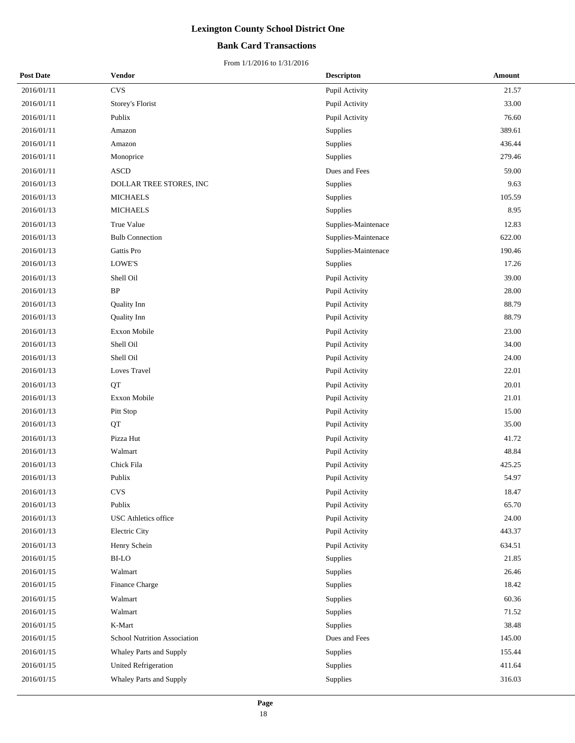## **Bank Card Transactions**

| <b>Post Date</b> | Vendor                       | <b>Descripton</b>   | Amount |
|------------------|------------------------------|---------------------|--------|
| 2016/01/11       | <b>CVS</b>                   | Pupil Activity      | 21.57  |
| 2016/01/11       | Storey's Florist             | Pupil Activity      | 33.00  |
| 2016/01/11       | Publix                       | Pupil Activity      | 76.60  |
| 2016/01/11       | Amazon                       | Supplies            | 389.61 |
| 2016/01/11       | Amazon                       | Supplies            | 436.44 |
| 2016/01/11       | Monoprice                    | Supplies            | 279.46 |
| 2016/01/11       | $\boldsymbol{\mathsf{ASCD}}$ | Dues and Fees       | 59.00  |
| 2016/01/13       | DOLLAR TREE STORES, INC      | Supplies            | 9.63   |
| 2016/01/13       | <b>MICHAELS</b>              | Supplies            | 105.59 |
| 2016/01/13       | <b>MICHAELS</b>              | Supplies            | 8.95   |
| 2016/01/13       | True Value                   | Supplies-Maintenace | 12.83  |
| 2016/01/13       | <b>Bulb Connection</b>       | Supplies-Maintenace | 622.00 |
| 2016/01/13       | Gattis Pro                   | Supplies-Maintenace | 190.46 |
| 2016/01/13       | LOWE'S                       | Supplies            | 17.26  |
| 2016/01/13       | Shell Oil                    | Pupil Activity      | 39.00  |
| 2016/01/13       | $\rm BP$                     | Pupil Activity      | 28.00  |
| 2016/01/13       | Quality Inn                  | Pupil Activity      | 88.79  |
| 2016/01/13       | Quality Inn                  | Pupil Activity      | 88.79  |
| 2016/01/13       | Exxon Mobile                 | Pupil Activity      | 23.00  |
| 2016/01/13       | Shell Oil                    | Pupil Activity      | 34.00  |
| 2016/01/13       | Shell Oil                    | Pupil Activity      | 24.00  |
| 2016/01/13       | Loves Travel                 | Pupil Activity      | 22.01  |
| 2016/01/13       | QT                           | Pupil Activity      | 20.01  |
| 2016/01/13       | Exxon Mobile                 | Pupil Activity      | 21.01  |
| 2016/01/13       | Pitt Stop                    | Pupil Activity      | 15.00  |
| 2016/01/13       | QT                           | Pupil Activity      | 35.00  |
| 2016/01/13       | Pizza Hut                    | Pupil Activity      | 41.72  |
| 2016/01/13       | Walmart                      | Pupil Activity      | 48.84  |
| 2016/01/13       | Chick Fila                   | Pupil Activity      | 425.25 |
| 2016/01/13       | Publix                       | Pupil Activity      | 54.97  |
| 2016/01/13       | <b>CVS</b>                   | Pupil Activity      | 18.47  |
| 2016/01/13       | Publix                       | Pupil Activity      | 65.70  |
| 2016/01/13       | USC Athletics office         | Pupil Activity      | 24.00  |
| 2016/01/13       | Electric City                | Pupil Activity      | 443.37 |
| 2016/01/13       | Henry Schein                 | Pupil Activity      | 634.51 |
| 2016/01/15       | BI-LO                        | Supplies            | 21.85  |
| 2016/01/15       | Walmart                      | Supplies            | 26.46  |
| 2016/01/15       | Finance Charge               | Supplies            | 18.42  |
| 2016/01/15       | Walmart                      | Supplies            | 60.36  |
| 2016/01/15       | Walmart                      | Supplies            | 71.52  |
| 2016/01/15       | K-Mart                       | Supplies            | 38.48  |
| 2016/01/15       | School Nutrition Association | Dues and Fees       | 145.00 |
| 2016/01/15       | Whaley Parts and Supply      | Supplies            | 155.44 |
| 2016/01/15       | United Refrigeration         | Supplies            | 411.64 |
| 2016/01/15       | Whaley Parts and Supply      | Supplies            | 316.03 |
|                  |                              |                     |        |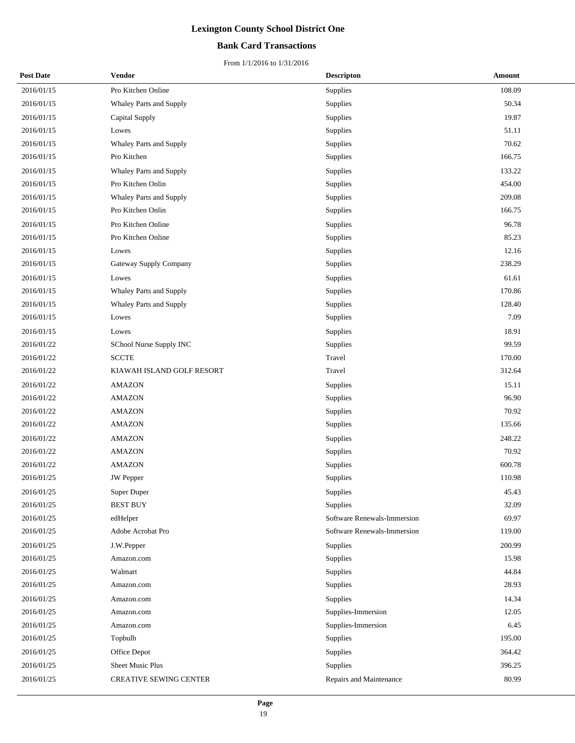## **Bank Card Transactions**

| <b>Post Date</b> | <b>Vendor</b>             | <b>Descripton</b>           | Amount |
|------------------|---------------------------|-----------------------------|--------|
| 2016/01/15       | Pro Kitchen Online        | <b>Supplies</b>             | 108.09 |
| 2016/01/15       | Whaley Parts and Supply   | <b>Supplies</b>             | 50.34  |
| 2016/01/15       | Capital Supply            | Supplies                    | 19.87  |
| 2016/01/15       | Lowes                     | Supplies                    | 51.11  |
| 2016/01/15       | Whaley Parts and Supply   | Supplies                    | 70.62  |
| 2016/01/15       | Pro Kitchen               | Supplies                    | 166.75 |
| 2016/01/15       | Whaley Parts and Supply   | Supplies                    | 133.22 |
| 2016/01/15       | Pro Kitchen Onlin         | Supplies                    | 454.00 |
| 2016/01/15       | Whaley Parts and Supply   | Supplies                    | 209.08 |
| 2016/01/15       | Pro Kitchen Onlin         | Supplies                    | 166.75 |
| 2016/01/15       | Pro Kitchen Online        | Supplies                    | 96.78  |
| 2016/01/15       | Pro Kitchen Online        | Supplies                    | 85.23  |
| 2016/01/15       | Lowes                     | Supplies                    | 12.16  |
| 2016/01/15       | Gateway Supply Company    | Supplies                    | 238.29 |
| 2016/01/15       | Lowes                     | Supplies                    | 61.61  |
| 2016/01/15       | Whaley Parts and Supply   | Supplies                    | 170.86 |
| 2016/01/15       | Whaley Parts and Supply   | Supplies                    | 128.40 |
| 2016/01/15       | Lowes                     | Supplies                    | 7.09   |
| 2016/01/15       | Lowes                     | Supplies                    | 18.91  |
| 2016/01/22       | SChool Nurse Supply INC   | Supplies                    | 99.59  |
| 2016/01/22       | <b>SCCTE</b>              | Travel                      | 170.00 |
| 2016/01/22       | KIAWAH ISLAND GOLF RESORT | Travel                      | 312.64 |
| 2016/01/22       | <b>AMAZON</b>             | Supplies                    | 15.11  |
| 2016/01/22       | <b>AMAZON</b>             | Supplies                    | 96.90  |
| 2016/01/22       | <b>AMAZON</b>             | Supplies                    | 70.92  |
| 2016/01/22       | <b>AMAZON</b>             | Supplies                    | 135.66 |
| 2016/01/22       | <b>AMAZON</b>             | Supplies                    | 248.22 |
| 2016/01/22       | <b>AMAZON</b>             | Supplies                    | 70.92  |
| 2016/01/22       | <b>AMAZON</b>             | Supplies                    | 600.78 |
| 2016/01/25       | <b>JW</b> Pepper          | Supplies                    | 110.98 |
| 2016/01/25       | Super Duper               | Supplies                    | 45.43  |
| 2016/01/25       | <b>BEST BUY</b>           | Supplies                    | 32.09  |
| 2016/01/25       | edHelper                  | Software Renewals-Immersion | 69.97  |
| 2016/01/25       | Adobe Acrobat Pro         | Software Renewals-Immersion | 119.00 |
| 2016/01/25       | J.W.Pepper                | Supplies                    | 200.99 |
| 2016/01/25       | Amazon.com                | Supplies                    | 15.98  |
| 2016/01/25       | Walmart                   | Supplies                    | 44.84  |
| 2016/01/25       | Amazon.com                | Supplies                    | 28.93  |
| 2016/01/25       | Amazon.com                | Supplies                    | 14.34  |
| 2016/01/25       | Amazon.com                | Supplies-Immersion          | 12.05  |
| 2016/01/25       | Amazon.com                | Supplies-Immersion          | 6.45   |
| 2016/01/25       | Topbulb                   | Supplies                    | 195.00 |
| 2016/01/25       | Office Depot              | Supplies                    | 364.42 |
| 2016/01/25       | <b>Sheet Music Plus</b>   | Supplies                    | 396.25 |
| 2016/01/25       | CREATIVE SEWING CENTER    | Repairs and Maintenance     | 80.99  |
|                  |                           |                             |        |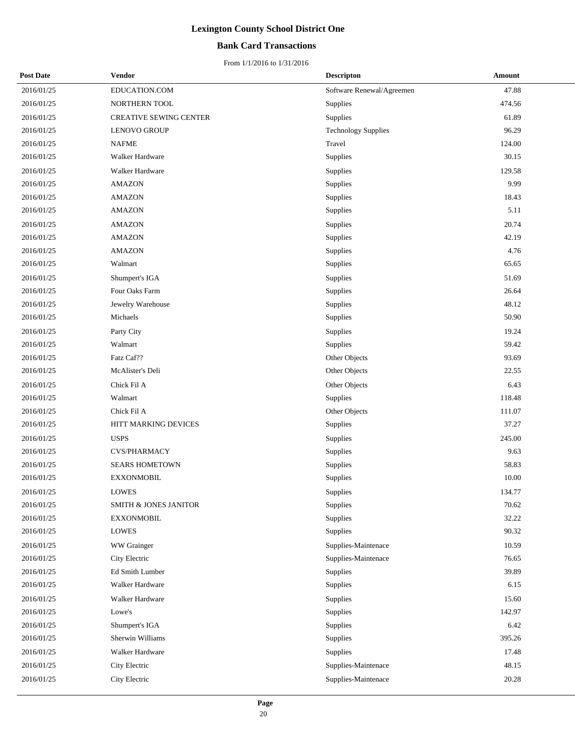## **Bank Card Transactions**

| <b>Post Date</b> | Vendor                         | <b>Descripton</b>          | Amount |
|------------------|--------------------------------|----------------------------|--------|
| 2016/01/25       | EDUCATION.COM                  | Software Renewal/Agreemen  | 47.88  |
| 2016/01/25       | NORTHERN TOOL                  | Supplies                   | 474.56 |
| 2016/01/25       | <b>CREATIVE SEWING CENTER</b>  | Supplies                   | 61.89  |
| 2016/01/25       | <b>LENOVO GROUP</b>            | <b>Technology Supplies</b> | 96.29  |
| 2016/01/25       | <b>NAFME</b>                   | Travel                     | 124.00 |
| 2016/01/25       | Walker Hardware                | Supplies                   | 30.15  |
| 2016/01/25       | Walker Hardware                | Supplies                   | 129.58 |
| 2016/01/25       | <b>AMAZON</b>                  | Supplies                   | 9.99   |
| 2016/01/25       | $\mathop{\rm AMAZON}\nolimits$ | Supplies                   | 18.43  |
| 2016/01/25       | <b>AMAZON</b>                  | Supplies                   | 5.11   |
| 2016/01/25       | <b>AMAZON</b>                  | Supplies                   | 20.74  |
| 2016/01/25       | <b>AMAZON</b>                  | Supplies                   | 42.19  |
| 2016/01/25       | <b>AMAZON</b>                  | Supplies                   | 4.76   |
| 2016/01/25       | Walmart                        | Supplies                   | 65.65  |
| 2016/01/25       | Shumpert's IGA                 | Supplies                   | 51.69  |
| 2016/01/25       | Four Oaks Farm                 | Supplies                   | 26.64  |
| 2016/01/25       | Jewelry Warehouse              | Supplies                   | 48.12  |
| 2016/01/25       | Michaels                       | Supplies                   | 50.90  |
| 2016/01/25       | Party City                     | Supplies                   | 19.24  |
| 2016/01/25       | Walmart                        | Supplies                   | 59.42  |
| 2016/01/25       | Fatz Caf??                     | Other Objects              | 93.69  |
| 2016/01/25       | McAlister's Deli               | Other Objects              | 22.55  |
| 2016/01/25       | Chick Fil A                    | Other Objects              | 6.43   |
| 2016/01/25       | Walmart                        | Supplies                   | 118.48 |
| 2016/01/25       | Chick Fil A                    | Other Objects              | 111.07 |
| 2016/01/25       | HITT MARKING DEVICES           | Supplies                   | 37.27  |
| 2016/01/25       | <b>USPS</b>                    | Supplies                   | 245.00 |
| 2016/01/25       | <b>CVS/PHARMACY</b>            | Supplies                   | 9.63   |
| 2016/01/25       | <b>SEARS HOMETOWN</b>          | Supplies                   | 58.83  |
| 2016/01/25       | <b>EXXONMOBIL</b>              | Supplies                   | 10.00  |
| 2016/01/25       | <b>LOWES</b>                   | Supplies                   | 134.77 |
| 2016/01/25       | SMITH & JONES JANITOR          | Supplies                   | 70.62  |
| 2016/01/25       | <b>EXXONMOBIL</b>              | Supplies                   | 32.22  |
| 2016/01/25       | LOWES                          | Supplies                   | 90.32  |
| 2016/01/25       | WW Grainger                    | Supplies-Maintenace        | 10.59  |
| 2016/01/25       | City Electric                  | Supplies-Maintenace        | 76.65  |
| 2016/01/25       | Ed Smith Lumber                | Supplies                   | 39.89  |
| 2016/01/25       | Walker Hardware                | Supplies                   | 6.15   |
| 2016/01/25       | Walker Hardware                | Supplies                   | 15.60  |
| 2016/01/25       | Lowe's                         | Supplies                   | 142.97 |
| 2016/01/25       | Shumpert's IGA                 | Supplies                   | 6.42   |
| 2016/01/25       | Sherwin Williams               | Supplies                   | 395.26 |
| 2016/01/25       | Walker Hardware                | Supplies                   | 17.48  |
| 2016/01/25       | City Electric                  | Supplies-Maintenace        | 48.15  |
| 2016/01/25       | City Electric                  | Supplies-Maintenace        | 20.28  |
|                  |                                |                            |        |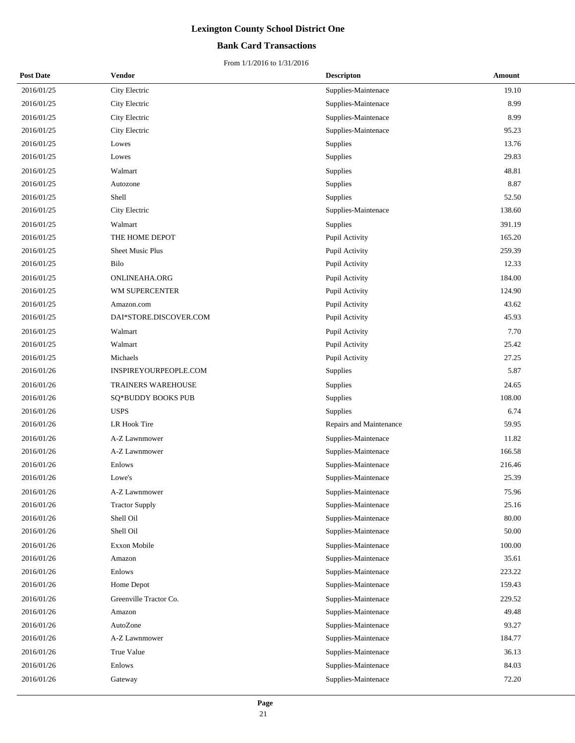## **Bank Card Transactions**

| <b>Post Date</b> | Vendor                 | <b>Descripton</b>       | Amount |
|------------------|------------------------|-------------------------|--------|
| 2016/01/25       | City Electric          | Supplies-Maintenace     | 19.10  |
| 2016/01/25       | City Electric          | Supplies-Maintenace     | 8.99   |
| 2016/01/25       | City Electric          | Supplies-Maintenace     | 8.99   |
| 2016/01/25       | City Electric          | Supplies-Maintenace     | 95.23  |
| 2016/01/25       | Lowes                  | Supplies                | 13.76  |
| 2016/01/25       | Lowes                  | <b>Supplies</b>         | 29.83  |
| 2016/01/25       | Walmart                | Supplies                | 48.81  |
| 2016/01/25       | Autozone               | Supplies                | 8.87   |
| 2016/01/25       | Shell                  | Supplies                | 52.50  |
| 2016/01/25       | City Electric          | Supplies-Maintenace     | 138.60 |
| 2016/01/25       | Walmart                | <b>Supplies</b>         | 391.19 |
| 2016/01/25       | THE HOME DEPOT         | Pupil Activity          | 165.20 |
| 2016/01/25       | Sheet Music Plus       | Pupil Activity          | 259.39 |
| 2016/01/25       | Bilo                   | Pupil Activity          | 12.33  |
| 2016/01/25       | ONLINEAHA.ORG          | Pupil Activity          | 184.00 |
| 2016/01/25       | WM SUPERCENTER         | Pupil Activity          | 124.90 |
| 2016/01/25       | Amazon.com             | Pupil Activity          | 43.62  |
| 2016/01/25       | DAI*STORE.DISCOVER.COM | Pupil Activity          | 45.93  |
| 2016/01/25       | Walmart                | Pupil Activity          | 7.70   |
| 2016/01/25       | Walmart                | Pupil Activity          | 25.42  |
| 2016/01/25       | Michaels               | Pupil Activity          | 27.25  |
| 2016/01/26       | INSPIREYOURPEOPLE.COM  | <b>Supplies</b>         | 5.87   |
| 2016/01/26       | TRAINERS WAREHOUSE     | Supplies                | 24.65  |
| 2016/01/26       | SQ*BUDDY BOOKS PUB     | Supplies                | 108.00 |
| 2016/01/26       | <b>USPS</b>            | Supplies                | 6.74   |
| 2016/01/26       | LR Hook Tire           | Repairs and Maintenance | 59.95  |
| 2016/01/26       | A-Z Lawnmower          | Supplies-Maintenace     | 11.82  |
| 2016/01/26       | A-Z Lawnmower          | Supplies-Maintenace     | 166.58 |
| 2016/01/26       | Enlows                 | Supplies-Maintenace     | 216.46 |
| 2016/01/26       | Lowe's                 | Supplies-Maintenace     | 25.39  |
| 2016/01/26       | A-Z Lawnmower          | Supplies-Maintenace     | 75.96  |
| 2016/01/26       | <b>Tractor Supply</b>  | Supplies-Maintenace     | 25.16  |
| 2016/01/26       | Shell Oil              | Supplies-Maintenace     | 80.00  |
| 2016/01/26       | Shell Oil              | Supplies-Maintenace     | 50.00  |
| 2016/01/26       | <b>Exxon Mobile</b>    | Supplies-Maintenace     | 100.00 |
| 2016/01/26       | Amazon                 | Supplies-Maintenace     | 35.61  |
| 2016/01/26       | Enlows                 | Supplies-Maintenace     | 223.22 |
| 2016/01/26       | Home Depot             | Supplies-Maintenace     | 159.43 |
| 2016/01/26       | Greenville Tractor Co. | Supplies-Maintenace     | 229.52 |
| 2016/01/26       | Amazon                 | Supplies-Maintenace     | 49.48  |
| 2016/01/26       | AutoZone               | Supplies-Maintenace     | 93.27  |
| 2016/01/26       | A-Z Lawnmower          | Supplies-Maintenace     | 184.77 |
| 2016/01/26       | True Value             | Supplies-Maintenace     | 36.13  |
| 2016/01/26       | Enlows                 | Supplies-Maintenace     | 84.03  |
| 2016/01/26       | Gateway                | Supplies-Maintenace     | 72.20  |
|                  |                        |                         |        |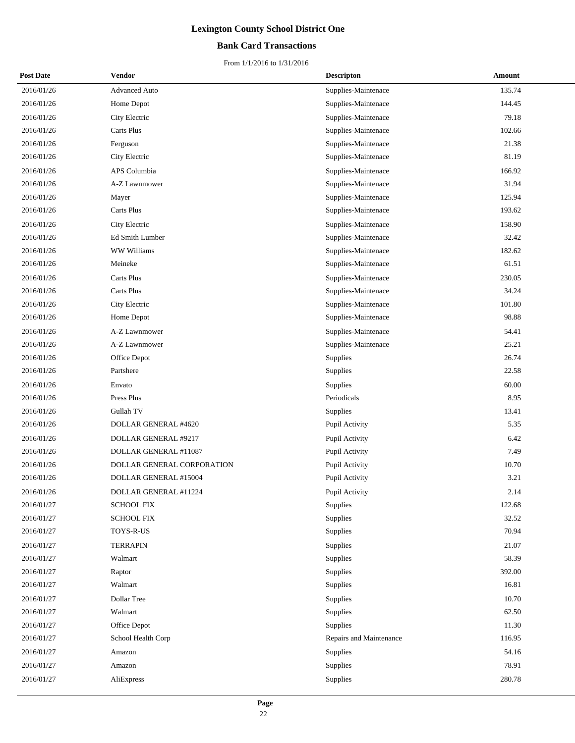## **Bank Card Transactions**

| <b>Post Date</b> | Vendor                          | <b>Descripton</b>       | Amount |
|------------------|---------------------------------|-------------------------|--------|
| 2016/01/26       | <b>Advanced Auto</b>            | Supplies-Maintenace     | 135.74 |
| 2016/01/26       | Home Depot                      | Supplies-Maintenace     | 144.45 |
| 2016/01/26       | City Electric                   | Supplies-Maintenace     | 79.18  |
| 2016/01/26       | Carts Plus                      | Supplies-Maintenace     | 102.66 |
| 2016/01/26       | Ferguson                        | Supplies-Maintenace     | 21.38  |
| 2016/01/26       | City Electric                   | Supplies-Maintenace     | 81.19  |
| 2016/01/26       | APS Columbia                    | Supplies-Maintenace     | 166.92 |
| 2016/01/26       | A-Z Lawnmower                   | Supplies-Maintenace     | 31.94  |
| 2016/01/26       | Mayer                           | Supplies-Maintenace     | 125.94 |
| 2016/01/26       | Carts Plus                      | Supplies-Maintenace     | 193.62 |
| 2016/01/26       | City Electric                   | Supplies-Maintenace     | 158.90 |
| 2016/01/26       | Ed Smith Lumber                 | Supplies-Maintenace     | 32.42  |
| 2016/01/26       | WW Williams                     | Supplies-Maintenace     | 182.62 |
| 2016/01/26       | Meineke                         | Supplies-Maintenace     | 61.51  |
| 2016/01/26       | Carts Plus                      | Supplies-Maintenace     | 230.05 |
| 2016/01/26       | Carts Plus                      | Supplies-Maintenace     | 34.24  |
| 2016/01/26       | City Electric                   | Supplies-Maintenace     | 101.80 |
| 2016/01/26       | Home Depot                      | Supplies-Maintenace     | 98.88  |
| 2016/01/26       | A-Z Lawnmower                   | Supplies-Maintenace     | 54.41  |
| 2016/01/26       | A-Z Lawnmower                   | Supplies-Maintenace     | 25.21  |
| 2016/01/26       | Office Depot                    | Supplies                | 26.74  |
| 2016/01/26       | Partshere                       | Supplies                | 22.58  |
| 2016/01/26       | Envato                          | Supplies                | 60.00  |
| 2016/01/26       | Press Plus                      | Periodicals             | 8.95   |
| 2016/01/26       | Gullah TV                       | Supplies                | 13.41  |
| 2016/01/26       | DOLLAR GENERAL #4620            | Pupil Activity          | 5.35   |
| 2016/01/26       | DOLLAR GENERAL #9217            | Pupil Activity          | 6.42   |
| 2016/01/26       | DOLLAR GENERAL #11087           | Pupil Activity          | 7.49   |
| 2016/01/26       | DOLLAR GENERAL CORPORATION      | Pupil Activity          | 10.70  |
| 2016/01/26       | DOLLAR GENERAL #15004           | Pupil Activity          | 3.21   |
| 2016/01/26       | DOLLAR GENERAL #11224           | Pupil Activity          | 2.14   |
| 2016/01/27       | <b>SCHOOL FIX</b>               | Supplies                | 122.68 |
| 2016/01/27       | <b>SCHOOL FIX</b>               | Supplies                | 32.52  |
| 2016/01/27       | ${\bf TOYS\text{-}R\text{-}US}$ | Supplies                | 70.94  |
| 2016/01/27       | <b>TERRAPIN</b>                 | Supplies                | 21.07  |
| 2016/01/27       | Walmart                         | Supplies                | 58.39  |
| 2016/01/27       | Raptor                          | Supplies                | 392.00 |
| 2016/01/27       | Walmart                         | Supplies                | 16.81  |
| 2016/01/27       | Dollar Tree                     | Supplies                | 10.70  |
| 2016/01/27       | Walmart                         | Supplies                | 62.50  |
| 2016/01/27       | Office Depot                    | Supplies                | 11.30  |
| 2016/01/27       | School Health Corp              | Repairs and Maintenance | 116.95 |
| 2016/01/27       | Amazon                          | Supplies                | 54.16  |
| 2016/01/27       | Amazon                          | Supplies                | 78.91  |
| 2016/01/27       | AliExpress                      | Supplies                | 280.78 |
|                  |                                 |                         |        |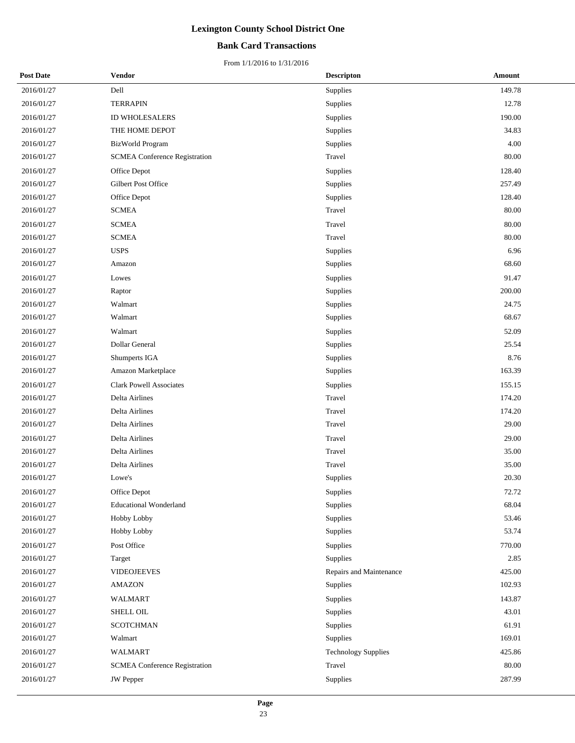## **Bank Card Transactions**

| <b>Post Date</b> | Vendor                               | <b>Descripton</b>          | Amount |
|------------------|--------------------------------------|----------------------------|--------|
| 2016/01/27       | Dell                                 | Supplies                   | 149.78 |
| 2016/01/27       | <b>TERRAPIN</b>                      | Supplies                   | 12.78  |
| 2016/01/27       | ID WHOLESALERS                       | Supplies                   | 190.00 |
| 2016/01/27       | THE HOME DEPOT                       | Supplies                   | 34.83  |
| 2016/01/27       | <b>BizWorld Program</b>              | Supplies                   | 4.00   |
| 2016/01/27       | <b>SCMEA Conference Registration</b> | Travel                     | 80.00  |
| 2016/01/27       | Office Depot                         | Supplies                   | 128.40 |
| 2016/01/27       | Gilbert Post Office                  | Supplies                   | 257.49 |
| 2016/01/27       | Office Depot                         | Supplies                   | 128.40 |
| 2016/01/27       | <b>SCMEA</b>                         | Travel                     | 80.00  |
| 2016/01/27       | <b>SCMEA</b>                         | Travel                     | 80.00  |
| 2016/01/27       | <b>SCMEA</b>                         | Travel                     | 80.00  |
| 2016/01/27       | <b>USPS</b>                          | Supplies                   | 6.96   |
| 2016/01/27       | Amazon                               | Supplies                   | 68.60  |
| 2016/01/27       | Lowes                                | Supplies                   | 91.47  |
| 2016/01/27       | Raptor                               | Supplies                   | 200.00 |
| 2016/01/27       | Walmart                              | Supplies                   | 24.75  |
| 2016/01/27       | Walmart                              | Supplies                   | 68.67  |
| 2016/01/27       | Walmart                              | Supplies                   | 52.09  |
| 2016/01/27       | Dollar General                       | Supplies                   | 25.54  |
| 2016/01/27       | Shumperts IGA                        | Supplies                   | 8.76   |
| 2016/01/27       | Amazon Marketplace                   | Supplies                   | 163.39 |
| 2016/01/27       | <b>Clark Powell Associates</b>       | Supplies                   | 155.15 |
| 2016/01/27       | Delta Airlines                       | Travel                     | 174.20 |
| 2016/01/27       | Delta Airlines                       | Travel                     | 174.20 |
| 2016/01/27       | Delta Airlines                       | Travel                     | 29.00  |
| 2016/01/27       | Delta Airlines                       | Travel                     | 29.00  |
| 2016/01/27       | Delta Airlines                       | Travel                     | 35.00  |
| 2016/01/27       | Delta Airlines                       | Travel                     | 35.00  |
| 2016/01/27       | Lowe's                               | Supplies                   | 20.30  |
| 2016/01/27       | Office Depot                         | Supplies                   | 72.72  |
| 2016/01/27       | <b>Educational Wonderland</b>        | Supplies                   | 68.04  |
| 2016/01/27       | Hobby Lobby                          | Supplies                   | 53.46  |
| 2016/01/27       | Hobby Lobby                          | Supplies                   | 53.74  |
| 2016/01/27       | Post Office                          | Supplies                   | 770.00 |
| 2016/01/27       | Target                               | Supplies                   | 2.85   |
| 2016/01/27       | <b>VIDEOJEEVES</b>                   | Repairs and Maintenance    | 425.00 |
| 2016/01/27       | <b>AMAZON</b>                        | Supplies                   | 102.93 |
| 2016/01/27       | <b>WALMART</b>                       | Supplies                   | 143.87 |
| 2016/01/27       | SHELL OIL                            | Supplies                   | 43.01  |
| 2016/01/27       | <b>SCOTCHMAN</b>                     | Supplies                   | 61.91  |
| 2016/01/27       | Walmart                              | Supplies                   | 169.01 |
| 2016/01/27       | <b>WALMART</b>                       | <b>Technology Supplies</b> | 425.86 |
| 2016/01/27       | <b>SCMEA Conference Registration</b> | Travel                     | 80.00  |
| 2016/01/27       | <b>JW</b> Pepper                     | Supplies                   | 287.99 |
|                  |                                      |                            |        |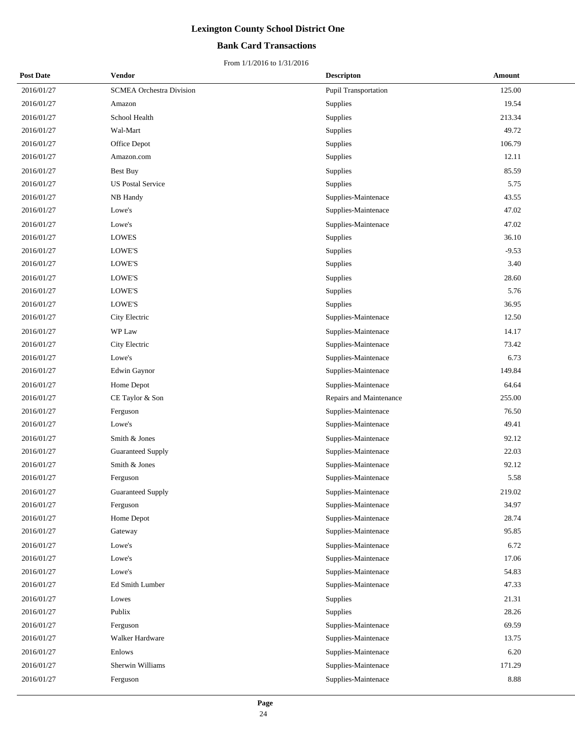## **Bank Card Transactions**

| <b>Post Date</b> | <b>Vendor</b>                   | <b>Descripton</b>           | Amount  |
|------------------|---------------------------------|-----------------------------|---------|
| 2016/01/27       | <b>SCMEA Orchestra Division</b> | <b>Pupil Transportation</b> | 125.00  |
| 2016/01/27       | Amazon                          | Supplies                    | 19.54   |
| 2016/01/27       | School Health                   | Supplies                    | 213.34  |
| 2016/01/27       | Wal-Mart                        | Supplies                    | 49.72   |
| 2016/01/27       | Office Depot                    | Supplies                    | 106.79  |
| 2016/01/27       | Amazon.com                      | Supplies                    | 12.11   |
| 2016/01/27       | Best Buy                        | Supplies                    | 85.59   |
| 2016/01/27       | <b>US Postal Service</b>        | Supplies                    | 5.75    |
| 2016/01/27       | NB Handy                        | Supplies-Maintenace         | 43.55   |
| 2016/01/27       | Lowe's                          | Supplies-Maintenace         | 47.02   |
| 2016/01/27       | Lowe's                          | Supplies-Maintenace         | 47.02   |
| 2016/01/27       | <b>LOWES</b>                    | Supplies                    | 36.10   |
| 2016/01/27       | LOWE'S                          | Supplies                    | $-9.53$ |
| 2016/01/27       | LOWE'S                          | Supplies                    | 3.40    |
| 2016/01/27       | LOWE'S                          | Supplies                    | 28.60   |
| 2016/01/27       | LOWE'S                          | Supplies                    | 5.76    |
| 2016/01/27       | <b>LOWE'S</b>                   | Supplies                    | 36.95   |
| 2016/01/27       | City Electric                   | Supplies-Maintenace         | 12.50   |
| 2016/01/27       | WP Law                          | Supplies-Maintenace         | 14.17   |
| 2016/01/27       | City Electric                   | Supplies-Maintenace         | 73.42   |
| 2016/01/27       | Lowe's                          | Supplies-Maintenace         | 6.73    |
| 2016/01/27       | Edwin Gaynor                    | Supplies-Maintenace         | 149.84  |
| 2016/01/27       | Home Depot                      | Supplies-Maintenace         | 64.64   |
| 2016/01/27       | CE Taylor & Son                 | Repairs and Maintenance     | 255.00  |
| 2016/01/27       | Ferguson                        | Supplies-Maintenace         | 76.50   |
| 2016/01/27       | Lowe's                          | Supplies-Maintenace         | 49.41   |
| 2016/01/27       | Smith & Jones                   | Supplies-Maintenace         | 92.12   |
| 2016/01/27       | <b>Guaranteed Supply</b>        | Supplies-Maintenace         | 22.03   |
| 2016/01/27       | Smith & Jones                   | Supplies-Maintenace         | 92.12   |
| 2016/01/27       | Ferguson                        | Supplies-Maintenace         | 5.58    |
| 2016/01/27       | Guaranteed Supply               | Supplies-Maintenace         | 219.02  |
| 2016/01/27       | Ferguson                        | Supplies-Maintenace         | 34.97   |
| 2016/01/27       | Home Depot                      | Supplies-Maintenace         | 28.74   |
| 2016/01/27       | Gateway                         | Supplies-Maintenace         | 95.85   |
| 2016/01/27       | Lowe's                          | Supplies-Maintenace         | 6.72    |
| 2016/01/27       | Lowe's                          | Supplies-Maintenace         | 17.06   |
| 2016/01/27       | Lowe's                          | Supplies-Maintenace         | 54.83   |
| 2016/01/27       | Ed Smith Lumber                 | Supplies-Maintenace         | 47.33   |
| 2016/01/27       | Lowes                           | Supplies                    | 21.31   |
| 2016/01/27       | Publix                          | Supplies                    | 28.26   |
| 2016/01/27       | Ferguson                        | Supplies-Maintenace         | 69.59   |
| 2016/01/27       | Walker Hardware                 | Supplies-Maintenace         | 13.75   |
| 2016/01/27       | Enlows                          | Supplies-Maintenace         | 6.20    |
| 2016/01/27       | Sherwin Williams                | Supplies-Maintenace         | 171.29  |
| 2016/01/27       | Ferguson                        | Supplies-Maintenace         | 8.88    |
|                  |                                 |                             |         |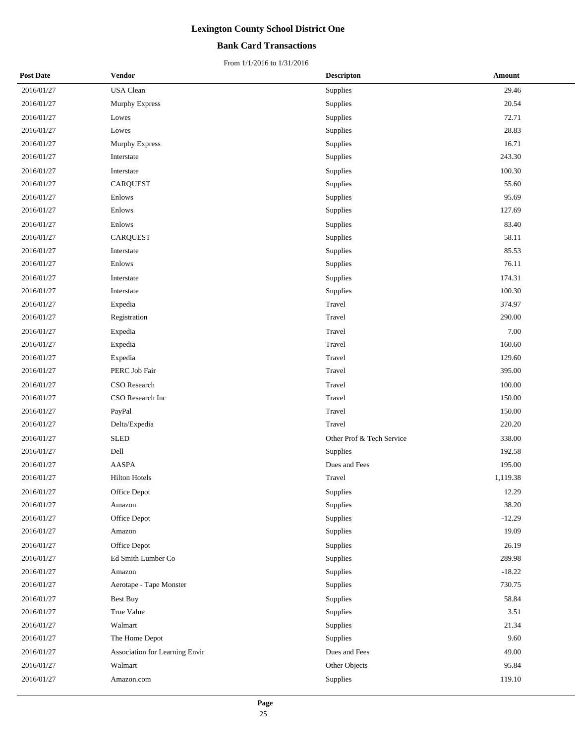## **Bank Card Transactions**

| <b>Post Date</b> | Vendor                         | <b>Descripton</b>         | Amount   |
|------------------|--------------------------------|---------------------------|----------|
| 2016/01/27       | USA Clean                      | Supplies                  | 29.46    |
| 2016/01/27       | Murphy Express                 | Supplies                  | 20.54    |
| 2016/01/27       | Lowes                          | Supplies                  | 72.71    |
| 2016/01/27       | Lowes                          | Supplies                  | 28.83    |
| 2016/01/27       | <b>Murphy Express</b>          | Supplies                  | 16.71    |
| 2016/01/27       | Interstate                     | Supplies                  | 243.30   |
| 2016/01/27       | Interstate                     | Supplies                  | 100.30   |
| 2016/01/27       | <b>CARQUEST</b>                | Supplies                  | 55.60    |
| 2016/01/27       | Enlows                         | Supplies                  | 95.69    |
| 2016/01/27       | Enlows                         | Supplies                  | 127.69   |
| 2016/01/27       | Enlows                         | Supplies                  | 83.40    |
| 2016/01/27       | <b>CARQUEST</b>                | Supplies                  | 58.11    |
| 2016/01/27       | Interstate                     | Supplies                  | 85.53    |
| 2016/01/27       | Enlows                         | Supplies                  | 76.11    |
| 2016/01/27       | Interstate                     | Supplies                  | 174.31   |
| 2016/01/27       | Interstate                     | Supplies                  | 100.30   |
| 2016/01/27       | Expedia                        | Travel                    | 374.97   |
| 2016/01/27       | Registration                   | Travel                    | 290.00   |
| 2016/01/27       | Expedia                        | Travel                    | 7.00     |
| 2016/01/27       | Expedia                        | Travel                    | 160.60   |
| 2016/01/27       | Expedia                        | Travel                    | 129.60   |
| 2016/01/27       | PERC Job Fair                  | Travel                    | 395.00   |
| 2016/01/27       | CSO Research                   | Travel                    | 100.00   |
| 2016/01/27       | CSO Research Inc               | Travel                    | 150.00   |
| 2016/01/27       | PayPal                         | Travel                    | 150.00   |
| 2016/01/27       | Delta/Expedia                  | Travel                    | 220.20   |
| 2016/01/27       | <b>SLED</b>                    | Other Prof & Tech Service | 338.00   |
| 2016/01/27       | Dell                           | Supplies                  | 192.58   |
| 2016/01/27       | AASPA                          | Dues and Fees             | 195.00   |
| 2016/01/27       | <b>Hilton Hotels</b>           | Travel                    | 1,119.38 |
| 2016/01/27       | Office Depot                   | Supplies                  | 12.29    |
| 2016/01/27       | Amazon                         | Supplies                  | 38.20    |
| 2016/01/27       | Office Depot                   | Supplies                  | $-12.29$ |
| 2016/01/27       | Amazon                         | Supplies                  | 19.09    |
| 2016/01/27       | Office Depot                   | Supplies                  | 26.19    |
| 2016/01/27       | Ed Smith Lumber Co             | Supplies                  | 289.98   |
| 2016/01/27       | Amazon                         | Supplies                  | $-18.22$ |
| 2016/01/27       | Aerotape - Tape Monster        | Supplies                  | 730.75   |
| 2016/01/27       | <b>Best Buy</b>                | Supplies                  | 58.84    |
| 2016/01/27       | True Value                     | Supplies                  | 3.51     |
| 2016/01/27       | Walmart                        | Supplies                  | 21.34    |
| 2016/01/27       | The Home Depot                 | Supplies                  | 9.60     |
| 2016/01/27       | Association for Learning Envir | Dues and Fees             | 49.00    |
| 2016/01/27       | Walmart                        | Other Objects             | 95.84    |
| 2016/01/27       | Amazon.com                     | Supplies                  | 119.10   |
|                  |                                |                           |          |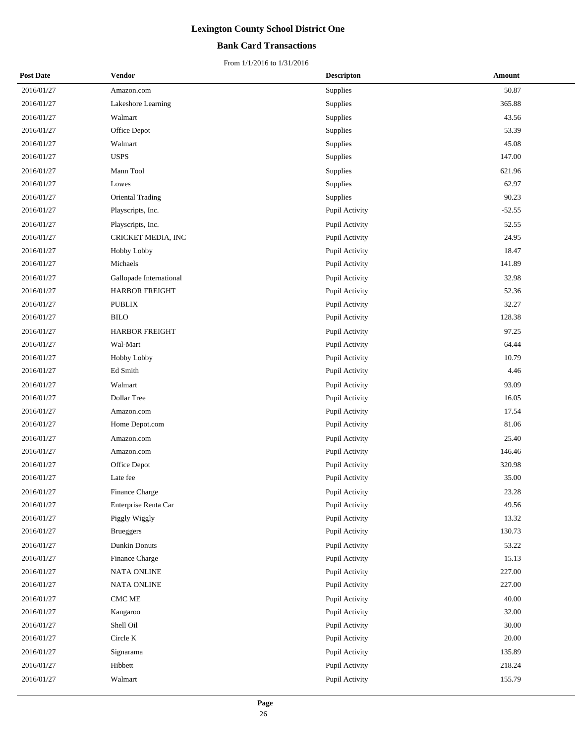## **Bank Card Transactions**

| <b>Post Date</b> | Vendor                  | <b>Descripton</b> | Amount   |
|------------------|-------------------------|-------------------|----------|
| 2016/01/27       | Amazon.com              | Supplies          | 50.87    |
| 2016/01/27       | Lakeshore Learning      | Supplies          | 365.88   |
| 2016/01/27       | Walmart                 | Supplies          | 43.56    |
| 2016/01/27       | Office Depot            | Supplies          | 53.39    |
| 2016/01/27       | Walmart                 | Supplies          | 45.08    |
| 2016/01/27       | <b>USPS</b>             | Supplies          | 147.00   |
| 2016/01/27       | Mann Tool               | Supplies          | 621.96   |
| 2016/01/27       | Lowes                   | Supplies          | 62.97    |
| 2016/01/27       | Oriental Trading        | Supplies          | 90.23    |
| 2016/01/27       | Playscripts, Inc.       | Pupil Activity    | $-52.55$ |
| 2016/01/27       | Playscripts, Inc.       | Pupil Activity    | 52.55    |
| 2016/01/27       | CRICKET MEDIA, INC      | Pupil Activity    | 24.95    |
| 2016/01/27       | Hobby Lobby             | Pupil Activity    | 18.47    |
| 2016/01/27       | Michaels                | Pupil Activity    | 141.89   |
| 2016/01/27       | Gallopade International | Pupil Activity    | 32.98    |
| 2016/01/27       | <b>HARBOR FREIGHT</b>   | Pupil Activity    | 52.36    |
| 2016/01/27       | <b>PUBLIX</b>           | Pupil Activity    | 32.27    |
| 2016/01/27       | <b>BILO</b>             | Pupil Activity    | 128.38   |
| 2016/01/27       | <b>HARBOR FREIGHT</b>   | Pupil Activity    | 97.25    |
| 2016/01/27       | Wal-Mart                | Pupil Activity    | 64.44    |
| 2016/01/27       | Hobby Lobby             | Pupil Activity    | 10.79    |
| 2016/01/27       | Ed Smith                | Pupil Activity    | 4.46     |
| 2016/01/27       | Walmart                 | Pupil Activity    | 93.09    |
| 2016/01/27       | Dollar Tree             | Pupil Activity    | 16.05    |
| 2016/01/27       | Amazon.com              | Pupil Activity    | 17.54    |
| 2016/01/27       | Home Depot.com          | Pupil Activity    | 81.06    |
| 2016/01/27       | Amazon.com              | Pupil Activity    | 25.40    |
| 2016/01/27       | Amazon.com              | Pupil Activity    | 146.46   |
| 2016/01/27       | Office Depot            | Pupil Activity    | 320.98   |
| 2016/01/27       | Late fee                | Pupil Activity    | 35.00    |
| 2016/01/27       | Finance Charge          | Pupil Activity    | 23.28    |
| 2016/01/27       | Enterprise Renta Car    | Pupil Activity    | 49.56    |
| 2016/01/27       | Piggly Wiggly           | Pupil Activity    | 13.32    |
| 2016/01/27       | <b>Brueggers</b>        | Pupil Activity    | 130.73   |
| 2016/01/27       | Dunkin Donuts           | Pupil Activity    | 53.22    |
| 2016/01/27       | Finance Charge          | Pupil Activity    | 15.13    |
| 2016/01/27       | NATA ONLINE             | Pupil Activity    | 227.00   |
| 2016/01/27       | <b>NATA ONLINE</b>      | Pupil Activity    | 227.00   |
| 2016/01/27       | CMC ME                  | Pupil Activity    | 40.00    |
| 2016/01/27       | Kangaroo                | Pupil Activity    | 32.00    |
| 2016/01/27       | Shell Oil               | Pupil Activity    | 30.00    |
| 2016/01/27       | Circle K                | Pupil Activity    | 20.00    |
| 2016/01/27       | Signarama               | Pupil Activity    | 135.89   |
| 2016/01/27       | Hibbett                 | Pupil Activity    | 218.24   |
| 2016/01/27       | Walmart                 | Pupil Activity    | 155.79   |
|                  |                         |                   |          |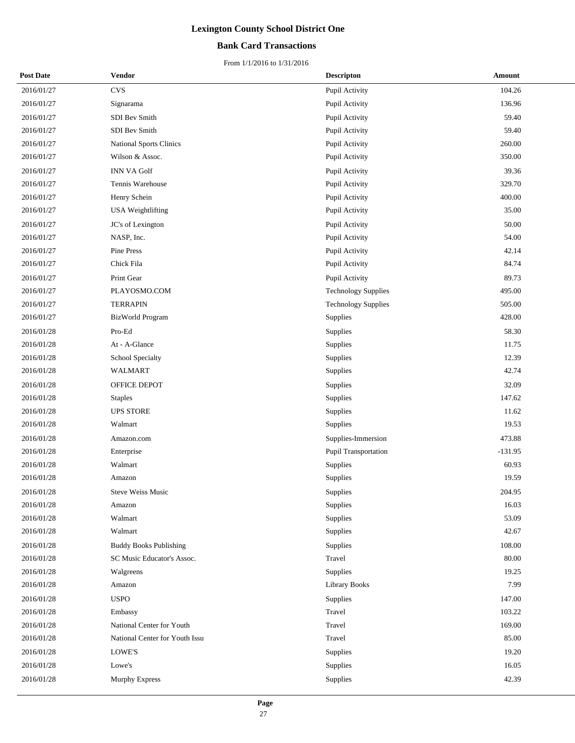## **Bank Card Transactions**

| <b>Post Date</b> | Vendor                         | <b>Descripton</b>          | <b>Amount</b> |
|------------------|--------------------------------|----------------------------|---------------|
| 2016/01/27       | <b>CVS</b>                     | Pupil Activity             | 104.26        |
| 2016/01/27       | Signarama                      | Pupil Activity             | 136.96        |
| 2016/01/27       | SDI Bev Smith                  | Pupil Activity             | 59.40         |
| 2016/01/27       | SDI Bev Smith                  | Pupil Activity             | 59.40         |
| 2016/01/27       | <b>National Sports Clinics</b> | Pupil Activity             | 260.00        |
| 2016/01/27       | Wilson & Assoc.                | Pupil Activity             | 350.00        |
| 2016/01/27       | <b>INN VA Golf</b>             | Pupil Activity             | 39.36         |
| 2016/01/27       | Tennis Warehouse               | Pupil Activity             | 329.70        |
| 2016/01/27       | Henry Schein                   | Pupil Activity             | 400.00        |
| 2016/01/27       | USA Weightlifting              | Pupil Activity             | 35.00         |
| 2016/01/27       | JC's of Lexington              | Pupil Activity             | 50.00         |
| 2016/01/27       | NASP, Inc.                     | Pupil Activity             | 54.00         |
| 2016/01/27       | Pine Press                     | Pupil Activity             | 42.14         |
| 2016/01/27       | Chick Fila                     | Pupil Activity             | 84.74         |
| 2016/01/27       | Print Gear                     | Pupil Activity             | 89.73         |
| 2016/01/27       | PLAYOSMO.COM                   | <b>Technology Supplies</b> | 495.00        |
| 2016/01/27       | <b>TERRAPIN</b>                | <b>Technology Supplies</b> | 505.00        |
| 2016/01/27       | BizWorld Program               | Supplies                   | 428.00        |
| 2016/01/28       | Pro-Ed                         | Supplies                   | 58.30         |
| 2016/01/28       | At - A-Glance                  | Supplies                   | 11.75         |
| 2016/01/28       | School Specialty               | Supplies                   | 12.39         |
| 2016/01/28       | <b>WALMART</b>                 | Supplies                   | 42.74         |
| 2016/01/28       | OFFICE DEPOT                   | Supplies                   | 32.09         |
| 2016/01/28       | <b>Staples</b>                 | Supplies                   | 147.62        |
| 2016/01/28       | <b>UPS STORE</b>               | Supplies                   | 11.62         |
| 2016/01/28       | Walmart                        | Supplies                   | 19.53         |
| 2016/01/28       | Amazon.com                     | Supplies-Immersion         | 473.88        |
| 2016/01/28       | Enterprise                     | Pupil Transportation       | $-131.95$     |
| 2016/01/28       | Walmart                        | Supplies                   | 60.93         |
| 2016/01/28       | Amazon                         | Supplies                   | 19.59         |
| 2016/01/28       | Steve Weiss Music              | Supplies                   | 204.95        |
| 2016/01/28       | Amazon                         | Supplies                   | 16.03         |
| 2016/01/28       | Walmart                        | Supplies                   | 53.09         |
| 2016/01/28       | Walmart                        | Supplies                   | 42.67         |
| 2016/01/28       | <b>Buddy Books Publishing</b>  | Supplies                   | 108.00        |
| 2016/01/28       | SC Music Educator's Assoc.     | Travel                     | 80.00         |
| 2016/01/28       | Walgreens                      | Supplies                   | 19.25         |
| 2016/01/28       | Amazon                         | <b>Library Books</b>       | 7.99          |
| 2016/01/28       | <b>USPO</b>                    | Supplies                   | 147.00        |
| 2016/01/28       | Embassy                        | Travel                     | 103.22        |
| 2016/01/28       | National Center for Youth      | Travel                     | 169.00        |
| 2016/01/28       | National Center for Youth Issu | Travel                     | 85.00         |
| 2016/01/28       | LOWE'S                         | Supplies                   | 19.20         |
| 2016/01/28       | Lowe's                         | Supplies                   | 16.05         |
| 2016/01/28       | Murphy Express                 | Supplies                   | 42.39         |
|                  |                                |                            |               |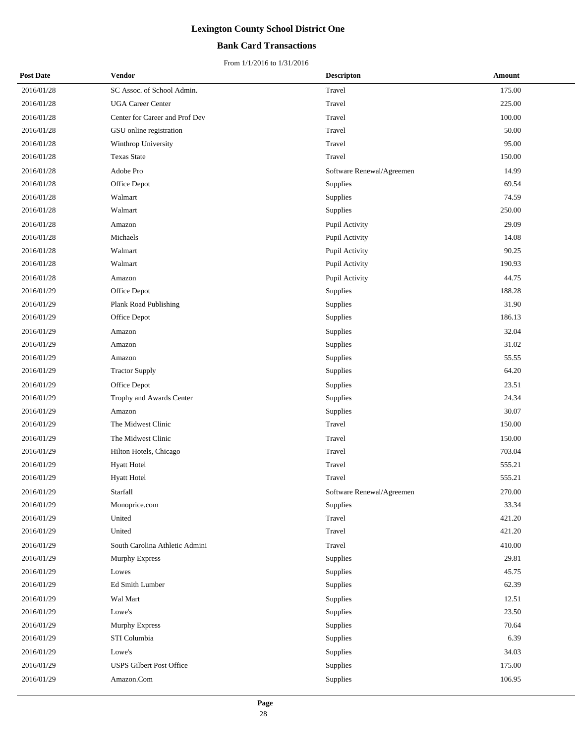## **Bank Card Transactions**

| <b>Post Date</b> | Vendor                          | <b>Descripton</b>         | Amount |
|------------------|---------------------------------|---------------------------|--------|
| 2016/01/28       | SC Assoc. of School Admin.      | Travel                    | 175.00 |
| 2016/01/28       | <b>UGA Career Center</b>        | Travel                    | 225.00 |
| 2016/01/28       | Center for Career and Prof Dev  | Travel                    | 100.00 |
| 2016/01/28       | GSU online registration         | Travel                    | 50.00  |
| 2016/01/28       | Winthrop University             | Travel                    | 95.00  |
| 2016/01/28       | <b>Texas State</b>              | Travel                    | 150.00 |
| 2016/01/28       | Adobe Pro                       | Software Renewal/Agreemen | 14.99  |
| 2016/01/28       | Office Depot                    | Supplies                  | 69.54  |
| 2016/01/28       | Walmart                         | Supplies                  | 74.59  |
| 2016/01/28       | Walmart                         | Supplies                  | 250.00 |
| 2016/01/28       | Amazon                          | Pupil Activity            | 29.09  |
| 2016/01/28       | Michaels                        | Pupil Activity            | 14.08  |
| 2016/01/28       | Walmart                         | Pupil Activity            | 90.25  |
| 2016/01/28       | Walmart                         | Pupil Activity            | 190.93 |
| 2016/01/28       | Amazon                          | Pupil Activity            | 44.75  |
| 2016/01/29       | Office Depot                    | Supplies                  | 188.28 |
| 2016/01/29       | Plank Road Publishing           | Supplies                  | 31.90  |
| 2016/01/29       | Office Depot                    | Supplies                  | 186.13 |
| 2016/01/29       | Amazon                          | Supplies                  | 32.04  |
| 2016/01/29       | Amazon                          | Supplies                  | 31.02  |
| 2016/01/29       | Amazon                          | Supplies                  | 55.55  |
| 2016/01/29       | <b>Tractor Supply</b>           | Supplies                  | 64.20  |
| 2016/01/29       | Office Depot                    | Supplies                  | 23.51  |
| 2016/01/29       | Trophy and Awards Center        | Supplies                  | 24.34  |
| 2016/01/29       | Amazon                          | Supplies                  | 30.07  |
| 2016/01/29       | The Midwest Clinic              | Travel                    | 150.00 |
| 2016/01/29       | The Midwest Clinic              | Travel                    | 150.00 |
| 2016/01/29       | Hilton Hotels, Chicago          | Travel                    | 703.04 |
| 2016/01/29       | <b>Hyatt Hotel</b>              | Travel                    | 555.21 |
| 2016/01/29       | <b>Hyatt Hotel</b>              | Travel                    | 555.21 |
| 2016/01/29       | Starfall                        | Software Renewal/Agreemen | 270.00 |
| 2016/01/29       | Monoprice.com                   | Supplies                  | 33.34  |
| 2016/01/29       | United                          | Travel                    | 421.20 |
| 2016/01/29       | United                          | Travel                    | 421.20 |
| 2016/01/29       | South Carolina Athletic Admini  | Travel                    | 410.00 |
| 2016/01/29       | <b>Murphy Express</b>           | Supplies                  | 29.81  |
| 2016/01/29       | Lowes                           | Supplies                  | 45.75  |
| 2016/01/29       | Ed Smith Lumber                 | Supplies                  | 62.39  |
| 2016/01/29       | Wal Mart                        | Supplies                  | 12.51  |
| 2016/01/29       | Lowe's                          | Supplies                  | 23.50  |
| 2016/01/29       | Murphy Express                  | Supplies                  | 70.64  |
| 2016/01/29       | STI Columbia                    | Supplies                  | 6.39   |
| 2016/01/29       | Lowe's                          | Supplies                  | 34.03  |
| 2016/01/29       | <b>USPS Gilbert Post Office</b> | Supplies                  | 175.00 |
| 2016/01/29       | Amazon.Com                      | Supplies                  | 106.95 |
|                  |                                 |                           |        |